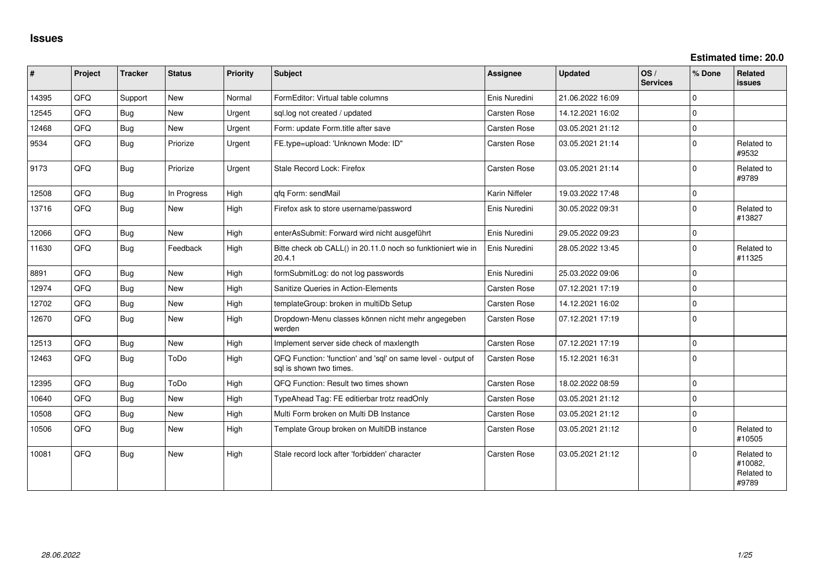**Estimated time: 20.0**

| $\vert$ # | Project | <b>Tracker</b> | <b>Status</b> | <b>Priority</b> | <b>Subject</b>                                                                          | <b>Assignee</b>     | <b>Updated</b>   | OS/<br><b>Services</b> | % Done      | Related<br><b>issues</b>                     |
|-----------|---------|----------------|---------------|-----------------|-----------------------------------------------------------------------------------------|---------------------|------------------|------------------------|-------------|----------------------------------------------|
| 14395     | QFQ     | Support        | <b>New</b>    | Normal          | FormEditor: Virtual table columns                                                       | Enis Nuredini       | 21.06.2022 16:09 |                        | $\Omega$    |                                              |
| 12545     | QFQ     | Bug            | <b>New</b>    | Urgent          | sql.log not created / updated                                                           | <b>Carsten Rose</b> | 14.12.2021 16:02 |                        | $\Omega$    |                                              |
| 12468     | QFQ     | <b>Bug</b>     | New           | Urgent          | Form: update Form.title after save                                                      | Carsten Rose        | 03.05.2021 21:12 |                        | $\mathbf 0$ |                                              |
| 9534      | QFQ     | Bug            | Priorize      | Urgent          | FE.type=upload: 'Unknown Mode: ID"                                                      | Carsten Rose        | 03.05.2021 21:14 |                        | $\Omega$    | Related to<br>#9532                          |
| 9173      | QFQ     | <b>Bug</b>     | Priorize      | Urgent          | Stale Record Lock: Firefox                                                              | <b>Carsten Rose</b> | 03.05.2021 21:14 |                        | $\Omega$    | Related to<br>#9789                          |
| 12508     | QFQ     | <b>Bug</b>     | In Progress   | High            | qfq Form: sendMail                                                                      | Karin Niffeler      | 19.03.2022 17:48 |                        | $\mathbf 0$ |                                              |
| 13716     | QFQ     | <b>Bug</b>     | New           | High            | Firefox ask to store username/password                                                  | Enis Nuredini       | 30.05.2022 09:31 |                        | $\Omega$    | Related to<br>#13827                         |
| 12066     | QFQ     | <b>Bug</b>     | <b>New</b>    | High            | enterAsSubmit: Forward wird nicht ausgeführt                                            | Enis Nuredini       | 29.05.2022 09:23 |                        | $\Omega$    |                                              |
| 11630     | QFQ     | Bug            | Feedback      | High            | Bitte check ob CALL() in 20.11.0 noch so funktioniert wie in<br>20.4.1                  | Enis Nuredini       | 28.05.2022 13:45 |                        | $\Omega$    | Related to<br>#11325                         |
| 8891      | QFQ     | <b>Bug</b>     | New           | High            | formSubmitLog: do not log passwords                                                     | Enis Nuredini       | 25.03.2022 09:06 |                        | $\Omega$    |                                              |
| 12974     | QFQ     | Bug            | New           | High            | Sanitize Queries in Action-Elements                                                     | Carsten Rose        | 07.12.2021 17:19 |                        | $\Omega$    |                                              |
| 12702     | QFQ     | Bug            | <b>New</b>    | High            | templateGroup: broken in multiDb Setup                                                  | Carsten Rose        | 14.12.2021 16:02 |                        | $\Omega$    |                                              |
| 12670     | QFQ     | Bug            | <b>New</b>    | High            | Dropdown-Menu classes können nicht mehr angegeben<br>werden                             | Carsten Rose        | 07.12.2021 17:19 |                        | $\Omega$    |                                              |
| 12513     | QFQ     | <b>Bug</b>     | New           | High            | Implement server side check of maxlength                                                | Carsten Rose        | 07.12.2021 17:19 |                        | $\Omega$    |                                              |
| 12463     | QFQ     | <b>Bug</b>     | ToDo          | High            | QFQ Function: 'function' and 'sql' on same level - output of<br>sgl is shown two times. | Carsten Rose        | 15.12.2021 16:31 |                        | $\Omega$    |                                              |
| 12395     | QFQ     | <b>Bug</b>     | ToDo          | High            | QFQ Function: Result two times shown                                                    | Carsten Rose        | 18.02.2022 08:59 |                        | $\Omega$    |                                              |
| 10640     | QFQ     | <b>Bug</b>     | New           | High            | TypeAhead Tag: FE editierbar trotz readOnly                                             | Carsten Rose        | 03.05.2021 21:12 |                        | $\Omega$    |                                              |
| 10508     | QFQ     | Bug            | New           | High            | Multi Form broken on Multi DB Instance                                                  | Carsten Rose        | 03.05.2021 21:12 |                        | $\mathbf 0$ |                                              |
| 10506     | QFQ     | <b>Bug</b>     | New           | High            | Template Group broken on MultiDB instance                                               | Carsten Rose        | 03.05.2021 21:12 |                        | $\Omega$    | Related to<br>#10505                         |
| 10081     | QFQ     | Bug            | <b>New</b>    | High            | Stale record lock after 'forbidden' character                                           | <b>Carsten Rose</b> | 03.05.2021 21:12 |                        | $\Omega$    | Related to<br>#10082,<br>Related to<br>#9789 |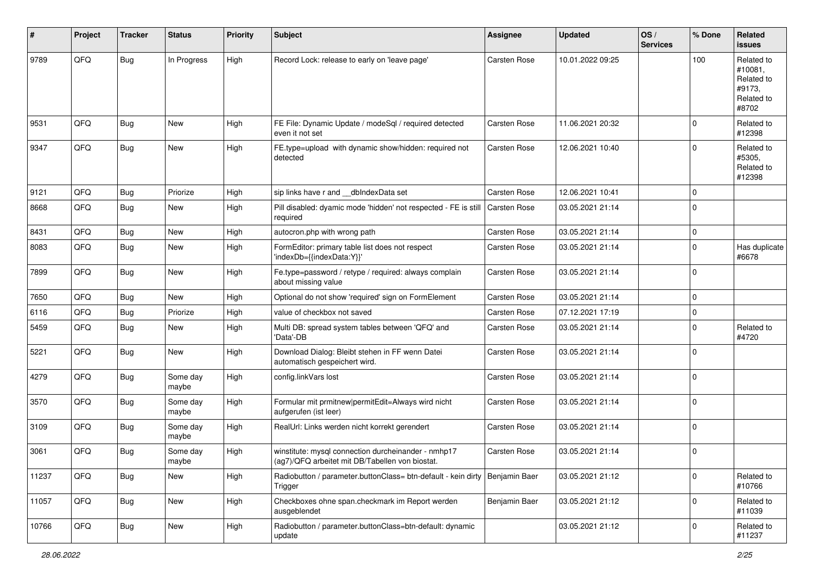| #     | Project | <b>Tracker</b> | <b>Status</b>     | <b>Priority</b> | <b>Subject</b>                                                                                         | Assignee      | <b>Updated</b>   | OS/<br><b>Services</b> | % Done      | Related<br><b>issues</b>                                             |
|-------|---------|----------------|-------------------|-----------------|--------------------------------------------------------------------------------------------------------|---------------|------------------|------------------------|-------------|----------------------------------------------------------------------|
| 9789  | QFQ     | Bug            | In Progress       | High            | Record Lock: release to early on 'leave page'                                                          | Carsten Rose  | 10.01.2022 09:25 |                        | 100         | Related to<br>#10081,<br>Related to<br>#9173.<br>Related to<br>#8702 |
| 9531  | QFQ     | Bug            | <b>New</b>        | High            | FE File: Dynamic Update / modeSql / required detected<br>even it not set                               | Carsten Rose  | 11.06.2021 20:32 |                        | $\Omega$    | Related to<br>#12398                                                 |
| 9347  | QFQ     | Bug            | New               | High            | FE.type=upload with dynamic show/hidden: required not<br>detected                                      | Carsten Rose  | 12.06.2021 10:40 |                        | $\Omega$    | Related to<br>#5305,<br>Related to<br>#12398                         |
| 9121  | QFQ     | Bug            | Priorize          | High            | sip links have r and __dbIndexData set                                                                 | Carsten Rose  | 12.06.2021 10:41 |                        | $\Omega$    |                                                                      |
| 8668  | QFQ     | <b>Bug</b>     | New               | High            | Pill disabled: dyamic mode 'hidden' not respected - FE is still<br>required                            | Carsten Rose  | 03.05.2021 21:14 |                        | $\Omega$    |                                                                      |
| 8431  | QFQ     | Bug            | New               | High            | autocron.php with wrong path                                                                           | Carsten Rose  | 03.05.2021 21:14 |                        | $\mathbf 0$ |                                                                      |
| 8083  | QFQ     | Bug            | New               | High            | FormEditor: primary table list does not respect<br>'indexDb={{indexData:Y}}'                           | Carsten Rose  | 03.05.2021 21:14 |                        | $\Omega$    | Has duplicate<br>#6678                                               |
| 7899  | QFQ     | Bug            | New               | High            | Fe.type=password / retype / required: always complain<br>about missing value                           | Carsten Rose  | 03.05.2021 21:14 |                        | $\Omega$    |                                                                      |
| 7650  | QFQ     | Bug            | New               | High            | Optional do not show 'required' sign on FormElement                                                    | Carsten Rose  | 03.05.2021 21:14 |                        | $\Omega$    |                                                                      |
| 6116  | QFQ     | Bug            | Priorize          | High            | value of checkbox not saved                                                                            | Carsten Rose  | 07.12.2021 17:19 |                        | $\Omega$    |                                                                      |
| 5459  | QFQ     | Bug            | New               | High            | Multi DB: spread system tables between 'QFQ' and<br>'Data'-DB                                          | Carsten Rose  | 03.05.2021 21:14 |                        | $\Omega$    | Related to<br>#4720                                                  |
| 5221  | QFQ     | Bug            | <b>New</b>        | High            | Download Dialog: Bleibt stehen in FF wenn Datei<br>automatisch gespeichert wird.                       | Carsten Rose  | 03.05.2021 21:14 |                        | $\Omega$    |                                                                      |
| 4279  | QFQ     | Bug            | Some day<br>maybe | High            | config.linkVars lost                                                                                   | Carsten Rose  | 03.05.2021 21:14 |                        | $\Omega$    |                                                                      |
| 3570  | QFQ     | <b>Bug</b>     | Some day<br>maybe | High            | Formular mit prmitnew permitEdit=Always wird nicht<br>aufgerufen (ist leer)                            | Carsten Rose  | 03.05.2021 21:14 |                        | $\Omega$    |                                                                      |
| 3109  | QFQ     | <b>Bug</b>     | Some day<br>maybe | High            | RealUrl: Links werden nicht korrekt gerendert                                                          | Carsten Rose  | 03.05.2021 21:14 |                        | $\Omega$    |                                                                      |
| 3061  | QFQ     | Bug            | Some day<br>maybe | High            | winstitute: mysql connection durcheinander - nmhp17<br>(ag7)/QFQ arbeitet mit DB/Tabellen von biostat. | Carsten Rose  | 03.05.2021 21:14 |                        | $\Omega$    |                                                                      |
| 11237 | QFQ     | <b>Bug</b>     | New               | High            | Radiobutton / parameter.buttonClass= btn-default - kein dirty   Benjamin Baer<br>Trigger               |               | 03.05.2021 21:12 |                        | $\mathbf 0$ | Related to<br>#10766                                                 |
| 11057 | QFQ     | Bug            | New               | High            | Checkboxes ohne span.checkmark im Report werden<br>ausgeblendet                                        | Benjamin Baer | 03.05.2021 21:12 |                        | $\mathbf 0$ | Related to<br>#11039                                                 |
| 10766 | QFQ     | <b>Bug</b>     | New               | High            | Radiobutton / parameter.buttonClass=btn-default: dynamic<br>update                                     |               | 03.05.2021 21:12 |                        | 0           | Related to<br>#11237                                                 |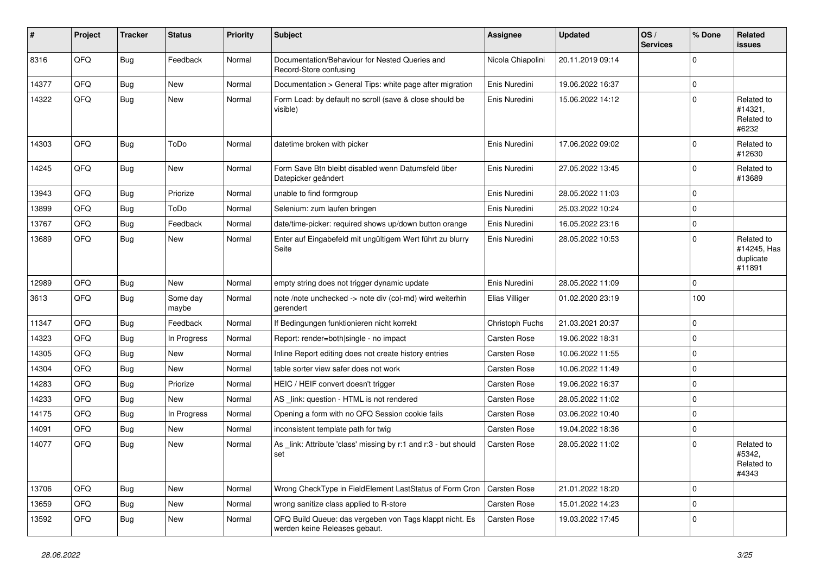| #     | Project | <b>Tracker</b> | <b>Status</b>     | <b>Priority</b> | <b>Subject</b>                                                                           | <b>Assignee</b>   | <b>Updated</b>   | OS/<br><b>Services</b> | % Done      | <b>Related</b><br>issues                         |
|-------|---------|----------------|-------------------|-----------------|------------------------------------------------------------------------------------------|-------------------|------------------|------------------------|-------------|--------------------------------------------------|
| 8316  | QFQ     | <b>Bug</b>     | Feedback          | Normal          | Documentation/Behaviour for Nested Queries and<br>Record-Store confusing                 | Nicola Chiapolini | 20.11.2019 09:14 |                        | $\mathbf 0$ |                                                  |
| 14377 | QFQ     | <b>Bug</b>     | New               | Normal          | Documentation > General Tips: white page after migration                                 | Enis Nuredini     | 19.06.2022 16:37 |                        | $\mathbf 0$ |                                                  |
| 14322 | QFQ     | Bug            | New               | Normal          | Form Load: by default no scroll (save & close should be<br>visible)                      | Enis Nuredini     | 15.06.2022 14:12 |                        | $\mathbf 0$ | Related to<br>#14321,<br>Related to<br>#6232     |
| 14303 | QFQ     | <b>Bug</b>     | ToDo              | Normal          | datetime broken with picker                                                              | Enis Nuredini     | 17.06.2022 09:02 |                        | $\mathbf 0$ | Related to<br>#12630                             |
| 14245 | QFQ     | Bug            | New               | Normal          | Form Save Btn bleibt disabled wenn Datumsfeld über<br>Datepicker geändert                | Enis Nuredini     | 27.05.2022 13:45 |                        | $\mathbf 0$ | Related to<br>#13689                             |
| 13943 | QFQ     | <b>Bug</b>     | Priorize          | Normal          | unable to find formgroup                                                                 | Enis Nuredini     | 28.05.2022 11:03 |                        | $\mathbf 0$ |                                                  |
| 13899 | QFQ     | <b>Bug</b>     | ToDo              | Normal          | Selenium: zum laufen bringen                                                             | Enis Nuredini     | 25.03.2022 10:24 |                        | $\mathbf 0$ |                                                  |
| 13767 | QFQ     | <b>Bug</b>     | Feedback          | Normal          | date/time-picker: required shows up/down button orange                                   | Enis Nuredini     | 16.05.2022 23:16 |                        | $\mathbf 0$ |                                                  |
| 13689 | QFQ     | Bug            | New               | Normal          | Enter auf Eingabefeld mit ungültigem Wert führt zu blurry<br>Seite                       | Enis Nuredini     | 28.05.2022 10:53 |                        | $\mathbf 0$ | Related to<br>#14245, Has<br>duplicate<br>#11891 |
| 12989 | QFQ     | <b>Bug</b>     | New               | Normal          | empty string does not trigger dynamic update                                             | Enis Nuredini     | 28.05.2022 11:09 |                        | $\mathbf 0$ |                                                  |
| 3613  | QFQ     | <b>Bug</b>     | Some day<br>maybe | Normal          | note /note unchecked -> note div (col-md) wird weiterhin<br>gerendert                    | Elias Villiger    | 01.02.2020 23:19 |                        | 100         |                                                  |
| 11347 | QFQ     | <b>Bug</b>     | Feedback          | Normal          | If Bedingungen funktionieren nicht korrekt                                               | Christoph Fuchs   | 21.03.2021 20:37 |                        | $\mathbf 0$ |                                                  |
| 14323 | QFQ     | <b>Bug</b>     | In Progress       | Normal          | Report: render=both single - no impact                                                   | Carsten Rose      | 19.06.2022 18:31 |                        | $\mathbf 0$ |                                                  |
| 14305 | QFQ     | <b>Bug</b>     | New               | Normal          | Inline Report editing does not create history entries                                    | Carsten Rose      | 10.06.2022 11:55 |                        | $\mathbf 0$ |                                                  |
| 14304 | QFQ     | <b>Bug</b>     | New               | Normal          | table sorter view safer does not work                                                    | Carsten Rose      | 10.06.2022 11:49 |                        | $\mathbf 0$ |                                                  |
| 14283 | QFQ     | <b>Bug</b>     | Priorize          | Normal          | HEIC / HEIF convert doesn't trigger                                                      | Carsten Rose      | 19.06.2022 16:37 |                        | $\mathbf 0$ |                                                  |
| 14233 | QFQ     | <b>Bug</b>     | New               | Normal          | AS _link: question - HTML is not rendered                                                | Carsten Rose      | 28.05.2022 11:02 |                        | $\mathbf 0$ |                                                  |
| 14175 | QFQ     | <b>Bug</b>     | In Progress       | Normal          | Opening a form with no QFQ Session cookie fails                                          | Carsten Rose      | 03.06.2022 10:40 |                        | $\mathbf 0$ |                                                  |
| 14091 | QFQ     | <b>Bug</b>     | New               | Normal          | inconsistent template path for twig                                                      | Carsten Rose      | 19.04.2022 18:36 |                        | $\mathbf 0$ |                                                  |
| 14077 | QFQ     | <b>Bug</b>     | New               | Normal          | As _link: Attribute 'class' missing by r:1 and r:3 - but should<br>set                   | Carsten Rose      | 28.05.2022 11:02 |                        | $\mathbf 0$ | Related to<br>#5342.<br>Related to<br>#4343      |
| 13706 | QFQ     | <b>Bug</b>     | New               | Normal          | Wrong CheckType in FieldElement LastStatus of Form Cron                                  | Carsten Rose      | 21.01.2022 18:20 |                        | $\mathbf 0$ |                                                  |
| 13659 | QFQ     | Bug            | New               | Normal          | wrong sanitize class applied to R-store                                                  | Carsten Rose      | 15.01.2022 14:23 |                        | $\pmb{0}$   |                                                  |
| 13592 | QFQ     | Bug            | New               | Normal          | QFQ Build Queue: das vergeben von Tags klappt nicht. Es<br>werden keine Releases gebaut. | Carsten Rose      | 19.03.2022 17:45 |                        | $\mathbf 0$ |                                                  |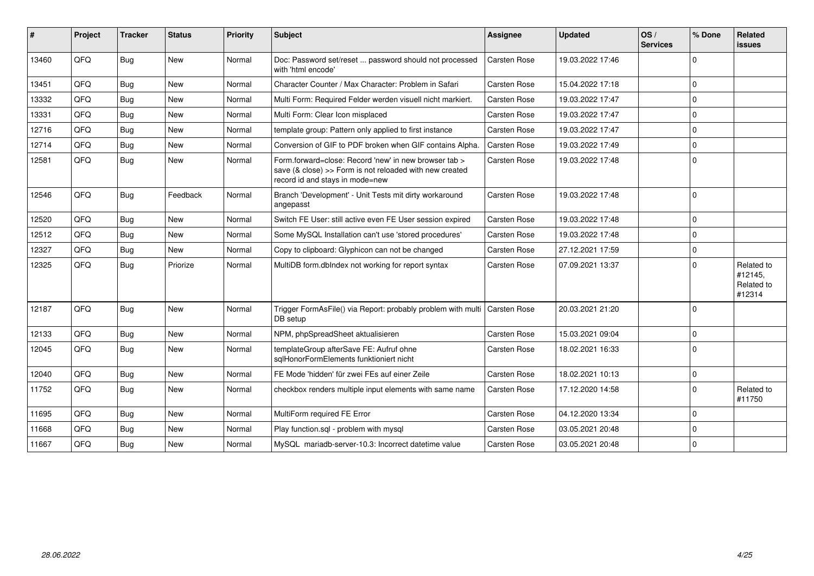| #     | Project | <b>Tracker</b> | <b>Status</b> | <b>Priority</b> | <b>Subject</b>                                                                                                                                      | Assignee            | <b>Updated</b>   | OS/<br><b>Services</b> | % Done      | <b>Related</b><br><b>issues</b>               |
|-------|---------|----------------|---------------|-----------------|-----------------------------------------------------------------------------------------------------------------------------------------------------|---------------------|------------------|------------------------|-------------|-----------------------------------------------|
| 13460 | QFQ     | Bug            | New           | Normal          | Doc: Password set/reset  password should not processed<br>with 'html encode'                                                                        | <b>Carsten Rose</b> | 19.03.2022 17:46 |                        | $\mathbf 0$ |                                               |
| 13451 | QFQ     | Bug            | <b>New</b>    | Normal          | Character Counter / Max Character: Problem in Safari                                                                                                | <b>Carsten Rose</b> | 15.04.2022 17:18 |                        | $\mathbf 0$ |                                               |
| 13332 | QFQ     | Bug            | <b>New</b>    | Normal          | Multi Form: Required Felder werden visuell nicht markiert.                                                                                          | Carsten Rose        | 19.03.2022 17:47 |                        | $\mathbf 0$ |                                               |
| 13331 | QFQ     | Bug            | <b>New</b>    | Normal          | Multi Form: Clear Icon misplaced                                                                                                                    | <b>Carsten Rose</b> | 19.03.2022 17:47 |                        | $\mathbf 0$ |                                               |
| 12716 | QFQ     | Bug            | <b>New</b>    | Normal          | template group: Pattern only applied to first instance                                                                                              | <b>Carsten Rose</b> | 19.03.2022 17:47 |                        | $\mathbf 0$ |                                               |
| 12714 | QFQ     | Bug            | New           | Normal          | Conversion of GIF to PDF broken when GIF contains Alpha.                                                                                            | Carsten Rose        | 19.03.2022 17:49 |                        | $\pmb{0}$   |                                               |
| 12581 | QFQ     | <b>Bug</b>     | New           | Normal          | Form.forward=close: Record 'new' in new browser tab ><br>save (& close) >> Form is not reloaded with new created<br>record id and stays in mode=new | Carsten Rose        | 19.03.2022 17:48 |                        | $\mathbf 0$ |                                               |
| 12546 | QFQ     | Bug            | Feedback      | Normal          | Branch 'Development' - Unit Tests mit dirty workaround<br>angepasst                                                                                 | Carsten Rose        | 19.03.2022 17:48 |                        | $\mathbf 0$ |                                               |
| 12520 | QFQ     | Bug            | <b>New</b>    | Normal          | Switch FE User: still active even FE User session expired                                                                                           | <b>Carsten Rose</b> | 19.03.2022 17:48 |                        | $\mathbf 0$ |                                               |
| 12512 | QFQ     | <b>Bug</b>     | New           | Normal          | Some MySQL Installation can't use 'stored procedures'                                                                                               | Carsten Rose        | 19.03.2022 17:48 |                        | $\mathbf 0$ |                                               |
| 12327 | QFQ     | <b>Bug</b>     | New           | Normal          | Copy to clipboard: Glyphicon can not be changed                                                                                                     | Carsten Rose        | 27.12.2021 17:59 |                        | $\pmb{0}$   |                                               |
| 12325 | QFQ     | <b>Bug</b>     | Priorize      | Normal          | MultiDB form.dblndex not working for report syntax                                                                                                  | Carsten Rose        | 07.09.2021 13:37 |                        | $\Omega$    | Related to<br>#12145.<br>Related to<br>#12314 |
| 12187 | QFQ     | Bug            | <b>New</b>    | Normal          | Trigger FormAsFile() via Report: probably problem with multi   Carsten Rose<br>DB setup                                                             |                     | 20.03.2021 21:20 |                        | $\mathbf 0$ |                                               |
| 12133 | QFQ     | <b>Bug</b>     | New           | Normal          | NPM, phpSpreadSheet aktualisieren                                                                                                                   | Carsten Rose        | 15.03.2021 09:04 |                        | $\mathbf 0$ |                                               |
| 12045 | QFQ     | <b>Bug</b>     | <b>New</b>    | Normal          | templateGroup afterSave FE: Aufruf ohne<br>salHonorFormElements funktioniert nicht                                                                  | Carsten Rose        | 18.02.2021 16:33 |                        | $\Omega$    |                                               |
| 12040 | QFQ     | <b>Bug</b>     | New           | Normal          | FE Mode 'hidden' für zwei FEs auf einer Zeile                                                                                                       | Carsten Rose        | 18.02.2021 10:13 |                        | $\mathbf 0$ |                                               |
| 11752 | QFQ     | <b>Bug</b>     | New           | Normal          | checkbox renders multiple input elements with same name                                                                                             | Carsten Rose        | 17.12.2020 14:58 |                        | $\Omega$    | Related to<br>#11750                          |
| 11695 | QFQ     | Bug            | <b>New</b>    | Normal          | MultiForm required FE Error                                                                                                                         | <b>Carsten Rose</b> | 04.12.2020 13:34 |                        | $\Omega$    |                                               |
| 11668 | QFQ     | <b>Bug</b>     | New           | Normal          | Play function.sql - problem with mysql                                                                                                              | Carsten Rose        | 03.05.2021 20:48 |                        | $\mathbf 0$ |                                               |
| 11667 | QFQ     | <b>Bug</b>     | New           | Normal          | MySQL mariadb-server-10.3: Incorrect datetime value                                                                                                 | Carsten Rose        | 03.05.2021 20:48 |                        | $\mathbf 0$ |                                               |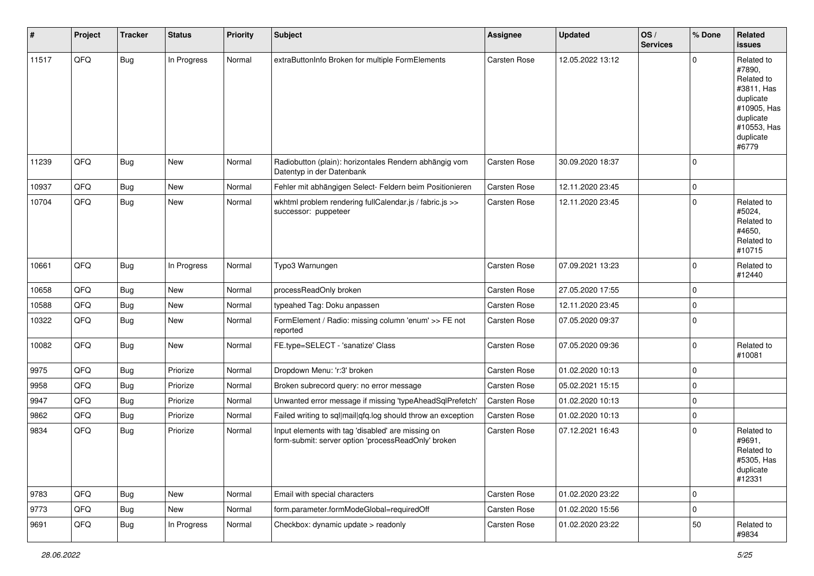| $\vert$ # | Project | <b>Tracker</b> | <b>Status</b> | <b>Priority</b> | <b>Subject</b>                                                                                           | Assignee     | <b>Updated</b>   | $\log$<br><b>Services</b> | % Done      | Related<br><b>issues</b>                                                                                                       |
|-----------|---------|----------------|---------------|-----------------|----------------------------------------------------------------------------------------------------------|--------------|------------------|---------------------------|-------------|--------------------------------------------------------------------------------------------------------------------------------|
| 11517     | QFQ     | <b>Bug</b>     | In Progress   | Normal          | extraButtonInfo Broken for multiple FormElements                                                         | Carsten Rose | 12.05.2022 13:12 |                           | $\Omega$    | Related to<br>#7890,<br>Related to<br>#3811, Has<br>duplicate<br>#10905, Has<br>duplicate<br>#10553, Has<br>duplicate<br>#6779 |
| 11239     | QFQ     | <b>Bug</b>     | New           | Normal          | Radiobutton (plain): horizontales Rendern abhängig vom<br>Datentyp in der Datenbank                      | Carsten Rose | 30.09.2020 18:37 |                           | $\Omega$    |                                                                                                                                |
| 10937     | QFQ     | <b>Bug</b>     | <b>New</b>    | Normal          | Fehler mit abhängigen Select- Feldern beim Positionieren                                                 | Carsten Rose | 12.11.2020 23:45 |                           | $\mathbf 0$ |                                                                                                                                |
| 10704     | QFQ     | <b>Bug</b>     | New           | Normal          | wkhtml problem rendering fullCalendar.js / fabric.js >><br>successor: puppeteer                          | Carsten Rose | 12.11.2020 23:45 |                           | $\Omega$    | Related to<br>#5024,<br>Related to<br>#4650,<br>Related to<br>#10715                                                           |
| 10661     | QFQ     | Bug            | In Progress   | Normal          | Typo3 Warnungen                                                                                          | Carsten Rose | 07.09.2021 13:23 |                           | $\Omega$    | Related to<br>#12440                                                                                                           |
| 10658     | QFQ     | Bug            | New           | Normal          | processReadOnly broken                                                                                   | Carsten Rose | 27.05.2020 17:55 |                           | $\Omega$    |                                                                                                                                |
| 10588     | QFQ     | <b>Bug</b>     | New           | Normal          | typeahed Tag: Doku anpassen                                                                              | Carsten Rose | 12.11.2020 23:45 |                           | $\Omega$    |                                                                                                                                |
| 10322     | QFQ     | <b>Bug</b>     | New           | Normal          | FormElement / Radio: missing column 'enum' >> FE not<br>reported                                         | Carsten Rose | 07.05.2020 09:37 |                           | $\Omega$    |                                                                                                                                |
| 10082     | QFQ     | Bug            | New           | Normal          | FE.type=SELECT - 'sanatize' Class                                                                        | Carsten Rose | 07.05.2020 09:36 |                           | $\Omega$    | Related to<br>#10081                                                                                                           |
| 9975      | QFQ     | <b>Bug</b>     | Priorize      | Normal          | Dropdown Menu: 'r:3' broken                                                                              | Carsten Rose | 01.02.2020 10:13 |                           | $\Omega$    |                                                                                                                                |
| 9958      | QFQ     | <b>Bug</b>     | Priorize      | Normal          | Broken subrecord query: no error message                                                                 | Carsten Rose | 05.02.2021 15:15 |                           | $\Omega$    |                                                                                                                                |
| 9947      | QFQ     | <b>Bug</b>     | Priorize      | Normal          | Unwanted error message if missing 'typeAheadSqlPrefetch'                                                 | Carsten Rose | 01.02.2020 10:13 |                           | $\mathbf 0$ |                                                                                                                                |
| 9862      | QFQ     | <b>Bug</b>     | Priorize      | Normal          | Failed writing to sql mail qfq.log should throw an exception                                             | Carsten Rose | 01.02.2020 10:13 |                           | $\Omega$    |                                                                                                                                |
| 9834      | QFQ     | <b>Bug</b>     | Priorize      | Normal          | Input elements with tag 'disabled' are missing on<br>form-submit: server option 'processReadOnly' broken | Carsten Rose | 07.12.2021 16:43 |                           | $\Omega$    | Related to<br>#9691,<br>Related to<br>#5305, Has<br>duplicate<br>#12331                                                        |
| 9783      | QFQ     | Bug            | New           | Normal          | Email with special characters                                                                            | Carsten Rose | 01.02.2020 23:22 |                           | $\mathbf 0$ |                                                                                                                                |
| 9773      | QFQ     | <b>Bug</b>     | New           | Normal          | form.parameter.formModeGlobal=requiredOff                                                                | Carsten Rose | 01.02.2020 15:56 |                           | $\mathbf 0$ |                                                                                                                                |
| 9691      | QFQ     | <b>Bug</b>     | In Progress   | Normal          | Checkbox: dynamic update > readonly                                                                      | Carsten Rose | 01.02.2020 23:22 |                           | 50          | Related to<br>#9834                                                                                                            |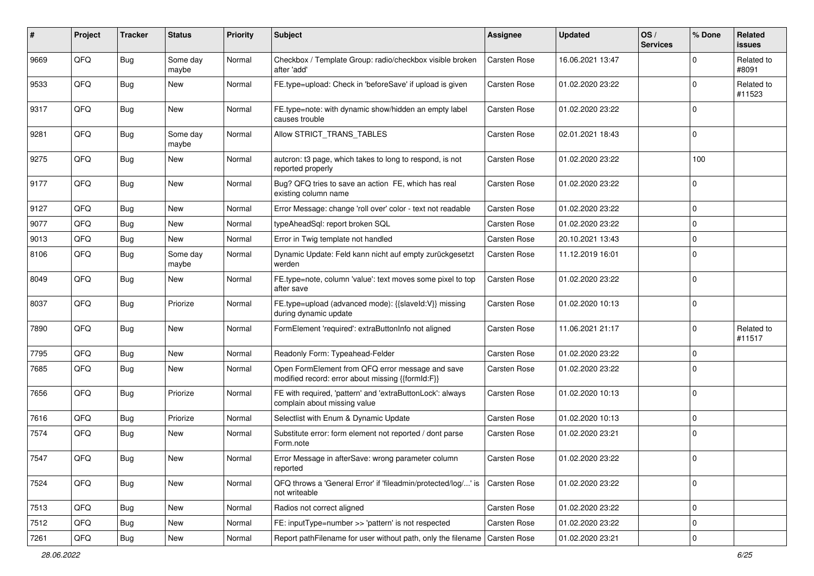| #    | Project        | <b>Tracker</b> | <b>Status</b>     | <b>Priority</b> | Subject                                                                                               | Assignee            | <b>Updated</b>   | OS/<br><b>Services</b> | % Done      | Related<br><b>issues</b> |
|------|----------------|----------------|-------------------|-----------------|-------------------------------------------------------------------------------------------------------|---------------------|------------------|------------------------|-------------|--------------------------|
| 9669 | QFQ            | <b>Bug</b>     | Some day<br>maybe | Normal          | Checkbox / Template Group: radio/checkbox visible broken<br>after 'add'                               | Carsten Rose        | 16.06.2021 13:47 |                        | $\mathbf 0$ | Related to<br>#8091      |
| 9533 | QFQ            | <b>Bug</b>     | New               | Normal          | FE.type=upload: Check in 'beforeSave' if upload is given                                              | Carsten Rose        | 01.02.2020 23:22 |                        | $\mathbf 0$ | Related to<br>#11523     |
| 9317 | QFQ            | <b>Bug</b>     | New               | Normal          | FE.type=note: with dynamic show/hidden an empty label<br>causes trouble                               | <b>Carsten Rose</b> | 01.02.2020 23:22 |                        | $\mathbf 0$ |                          |
| 9281 | QFQ            | <b>Bug</b>     | Some day<br>maybe | Normal          | Allow STRICT TRANS TABLES                                                                             | Carsten Rose        | 02.01.2021 18:43 |                        | $\mathbf 0$ |                          |
| 9275 | QFQ            | <b>Bug</b>     | New               | Normal          | autcron: t3 page, which takes to long to respond, is not<br>reported properly                         | <b>Carsten Rose</b> | 01.02.2020 23:22 |                        | 100         |                          |
| 9177 | QFQ            | <b>Bug</b>     | New               | Normal          | Bug? QFQ tries to save an action FE, which has real<br>existing column name                           | Carsten Rose        | 01.02.2020 23:22 |                        | $\mathbf 0$ |                          |
| 9127 | QFQ            | <b>Bug</b>     | New               | Normal          | Error Message: change 'roll over' color - text not readable                                           | Carsten Rose        | 01.02.2020 23:22 |                        | $\mathbf 0$ |                          |
| 9077 | QFQ            | <b>Bug</b>     | New               | Normal          | typeAheadSql: report broken SQL                                                                       | <b>Carsten Rose</b> | 01.02.2020 23:22 |                        | $\mathbf 0$ |                          |
| 9013 | QFQ            | <b>Bug</b>     | New               | Normal          | Error in Twig template not handled                                                                    | Carsten Rose        | 20.10.2021 13:43 |                        | $\mathbf 0$ |                          |
| 8106 | QFQ            | <b>Bug</b>     | Some day<br>maybe | Normal          | Dynamic Update: Feld kann nicht auf empty zurückgesetzt<br>werden                                     | Carsten Rose        | 11.12.2019 16:01 |                        | $\mathbf 0$ |                          |
| 8049 | QFQ            | <b>Bug</b>     | New               | Normal          | FE.type=note, column 'value': text moves some pixel to top<br>after save                              | Carsten Rose        | 01.02.2020 23:22 |                        | $\mathbf 0$ |                          |
| 8037 | QFQ            | Bug            | Priorize          | Normal          | FE.type=upload (advanced mode): {{slaveld:V}} missing<br>during dynamic update                        | Carsten Rose        | 01.02.2020 10:13 |                        | $\mathbf 0$ |                          |
| 7890 | QFQ            | Bug            | New               | Normal          | FormElement 'required': extraButtonInfo not aligned                                                   | Carsten Rose        | 11.06.2021 21:17 |                        | $\mathbf 0$ | Related to<br>#11517     |
| 7795 | QFQ            | <b>Bug</b>     | New               | Normal          | Readonly Form: Typeahead-Felder                                                                       | Carsten Rose        | 01.02.2020 23:22 |                        | $\mathbf 0$ |                          |
| 7685 | QFQ            | <b>Bug</b>     | New               | Normal          | Open FormElement from QFQ error message and save<br>modified record: error about missing {{formId:F}} | Carsten Rose        | 01.02.2020 23:22 |                        | $\mathbf 0$ |                          |
| 7656 | QFQ            | <b>Bug</b>     | Priorize          | Normal          | FE with required, 'pattern' and 'extraButtonLock': always<br>complain about missing value             | <b>Carsten Rose</b> | 01.02.2020 10:13 |                        | $\mathbf 0$ |                          |
| 7616 | QFQ            | <b>Bug</b>     | Priorize          | Normal          | Selectlist with Enum & Dynamic Update                                                                 | Carsten Rose        | 01.02.2020 10:13 |                        | $\mathbf 0$ |                          |
| 7574 | QFQ            | Bug            | New               | Normal          | Substitute error: form element not reported / dont parse<br>Form.note                                 | <b>Carsten Rose</b> | 01.02.2020 23:21 |                        | $\mathbf 0$ |                          |
| 7547 | $\mathsf{QFQ}$ | Bug            | New               | Normal          | Error Message in afterSave: wrong parameter column<br>reported                                        | Carsten Rose        | 01.02.2020 23:22 |                        | $\mathbf 0$ |                          |
| 7524 | QFQ            | <b>Bug</b>     | New               | Normal          | QFQ throws a 'General Error' if 'fileadmin/protected/log/' is<br>not writeable                        | Carsten Rose        | 01.02.2020 23:22 |                        | $\mathbf 0$ |                          |
| 7513 | QFQ            | <b>Bug</b>     | New               | Normal          | Radios not correct aligned                                                                            | Carsten Rose        | 01.02.2020 23:22 |                        | $\mathbf 0$ |                          |
| 7512 | QFQ            | <b>Bug</b>     | New               | Normal          | FE: inputType=number >> 'pattern' is not respected                                                    | Carsten Rose        | 01.02.2020 23:22 |                        | $\mathbf 0$ |                          |
| 7261 | QFQ            | Bug            | New               | Normal          | Report pathFilename for user without path, only the filename                                          | Carsten Rose        | 01.02.2020 23:21 |                        | $\mathbf 0$ |                          |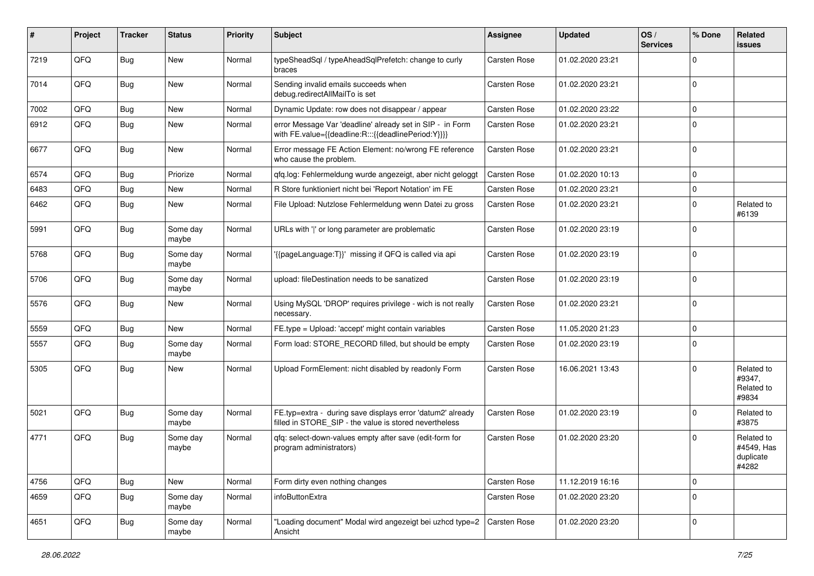| #    | Project | <b>Tracker</b> | <b>Status</b>     | <b>Priority</b> | <b>Subject</b>                                                                                                       | <b>Assignee</b> | <b>Updated</b>   | OS/<br><b>Services</b> | % Done      | Related<br><b>issues</b>                       |
|------|---------|----------------|-------------------|-----------------|----------------------------------------------------------------------------------------------------------------------|-----------------|------------------|------------------------|-------------|------------------------------------------------|
| 7219 | QFQ     | Bug            | New               | Normal          | typeSheadSql / typeAheadSqlPrefetch: change to curly<br>braces                                                       | Carsten Rose    | 01.02.2020 23:21 |                        | $\Omega$    |                                                |
| 7014 | QFQ     | Bug            | New               | Normal          | Sending invalid emails succeeds when<br>debug.redirectAllMailTo is set                                               | Carsten Rose    | 01.02.2020 23:21 |                        | $\mathbf 0$ |                                                |
| 7002 | QFQ     | <b>Bug</b>     | New               | Normal          | Dynamic Update: row does not disappear / appear                                                                      | Carsten Rose    | 01.02.2020 23:22 |                        | $\Omega$    |                                                |
| 6912 | QFQ     | <b>Bug</b>     | New               | Normal          | error Message Var 'deadline' already set in SIP - in Form<br>with FE.value={{deadline:R:::{{deadlinePeriod:Y}}}}     | Carsten Rose    | 01.02.2020 23:21 |                        | $\Omega$    |                                                |
| 6677 | QFQ     | <b>Bug</b>     | New               | Normal          | Error message FE Action Element: no/wrong FE reference<br>who cause the problem.                                     | Carsten Rose    | 01.02.2020 23:21 |                        | $\Omega$    |                                                |
| 6574 | QFQ     | <b>Bug</b>     | Priorize          | Normal          | qfq.log: Fehlermeldung wurde angezeigt, aber nicht geloggt                                                           | Carsten Rose    | 01.02.2020 10:13 |                        | $\mathbf 0$ |                                                |
| 6483 | QFQ     | <b>Bug</b>     | New               | Normal          | R Store funktioniert nicht bei 'Report Notation' im FE                                                               | Carsten Rose    | 01.02.2020 23:21 |                        | $\Omega$    |                                                |
| 6462 | QFQ     | <b>Bug</b>     | New               | Normal          | File Upload: Nutzlose Fehlermeldung wenn Datei zu gross                                                              | Carsten Rose    | 01.02.2020 23:21 |                        | $\mathbf 0$ | Related to<br>#6139                            |
| 5991 | QFQ     | Bug            | Some day<br>maybe | Normal          | URLs with ' ' or long parameter are problematic                                                                      | Carsten Rose    | 01.02.2020 23:19 |                        | $\Omega$    |                                                |
| 5768 | QFQ     | <b>Bug</b>     | Some day<br>maybe | Normal          | {{pageLanguage:T}}' missing if QFQ is called via api                                                                 | Carsten Rose    | 01.02.2020 23:19 |                        | $\mathbf 0$ |                                                |
| 5706 | QFQ     | <b>Bug</b>     | Some day<br>maybe | Normal          | upload: fileDestination needs to be sanatized                                                                        | Carsten Rose    | 01.02.2020 23:19 |                        | $\mathbf 0$ |                                                |
| 5576 | QFQ     | <b>Bug</b>     | <b>New</b>        | Normal          | Using MySQL 'DROP' requires privilege - wich is not really<br>necessary.                                             | Carsten Rose    | 01.02.2020 23:21 |                        | $\mathbf 0$ |                                                |
| 5559 | QFQ     | <b>Bug</b>     | New               | Normal          | FE.type = Upload: 'accept' might contain variables                                                                   | Carsten Rose    | 11.05.2020 21:23 |                        | $\Omega$    |                                                |
| 5557 | QFQ     | <b>Bug</b>     | Some day<br>maybe | Normal          | Form load: STORE_RECORD filled, but should be empty                                                                  | Carsten Rose    | 01.02.2020 23:19 |                        | $\Omega$    |                                                |
| 5305 | QFQ     | Bug            | New               | Normal          | Upload FormElement: nicht disabled by readonly Form                                                                  | Carsten Rose    | 16.06.2021 13:43 |                        | $\Omega$    | Related to<br>#9347,<br>Related to<br>#9834    |
| 5021 | QFQ     | <b>Bug</b>     | Some day<br>maybe | Normal          | FE.typ=extra - during save displays error 'datum2' already<br>filled in STORE_SIP - the value is stored nevertheless | Carsten Rose    | 01.02.2020 23:19 |                        | $\Omega$    | Related to<br>#3875                            |
| 4771 | QFQ     | <b>Bug</b>     | Some day<br>maybe | Normal          | qfq: select-down-values empty after save (edit-form for<br>program administrators)                                   | Carsten Rose    | 01.02.2020 23:20 |                        | $\Omega$    | Related to<br>#4549, Has<br>duplicate<br>#4282 |
| 4756 | QFQ     | <b>Bug</b>     | New               | Normal          | Form dirty even nothing changes                                                                                      | Carsten Rose    | 11.12.2019 16:16 |                        | $\mathbf 0$ |                                                |
| 4659 | QFQ     | Bug            | Some day<br>maybe | Normal          | infoButtonExtra                                                                                                      | Carsten Rose    | 01.02.2020 23:20 |                        | $\mathbf 0$ |                                                |
| 4651 | QFQ     | Bug            | Some day<br>maybe | Normal          | 'Loading document" Modal wird angezeigt bei uzhcd type=2<br>Ansicht                                                  | Carsten Rose    | 01.02.2020 23:20 |                        | $\mathbf 0$ |                                                |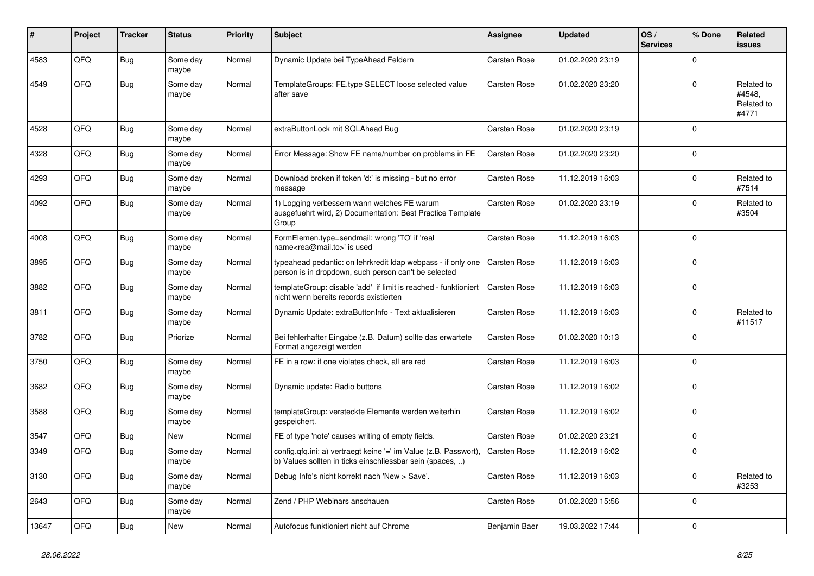| #     | Project | <b>Tracker</b> | <b>Status</b>     | <b>Priority</b> | <b>Subject</b>                                                                                                                      | <b>Assignee</b>     | <b>Updated</b>   | OS/<br><b>Services</b> | % Done      | Related<br><b>issues</b>                    |
|-------|---------|----------------|-------------------|-----------------|-------------------------------------------------------------------------------------------------------------------------------------|---------------------|------------------|------------------------|-------------|---------------------------------------------|
| 4583  | QFQ     | Bug            | Some day<br>maybe | Normal          | Dynamic Update bei TypeAhead Feldern                                                                                                | Carsten Rose        | 01.02.2020 23:19 |                        | $\Omega$    |                                             |
| 4549  | QFQ     | <b>Bug</b>     | Some day<br>maybe | Normal          | TemplateGroups: FE.type SELECT loose selected value<br>after save                                                                   | Carsten Rose        | 01.02.2020 23:20 |                        | $\Omega$    | Related to<br>#4548.<br>Related to<br>#4771 |
| 4528  | QFQ     | Bug            | Some day<br>maybe | Normal          | extraButtonLock mit SQLAhead Bug                                                                                                    | Carsten Rose        | 01.02.2020 23:19 |                        | $\Omega$    |                                             |
| 4328  | QFQ     | <b>Bug</b>     | Some day<br>maybe | Normal          | Error Message: Show FE name/number on problems in FE                                                                                | Carsten Rose        | 01.02.2020 23:20 |                        | $\Omega$    |                                             |
| 4293  | QFQ     | Bug            | Some day<br>maybe | Normal          | Download broken if token 'd:' is missing - but no error<br>message                                                                  | Carsten Rose        | 11.12.2019 16:03 |                        | $\Omega$    | Related to<br>#7514                         |
| 4092  | QFQ     | <b>Bug</b>     | Some day<br>maybe | Normal          | 1) Logging verbessern wann welches FE warum<br>ausgefuehrt wird, 2) Documentation: Best Practice Template<br>Group                  | Carsten Rose        | 01.02.2020 23:19 |                        | $\Omega$    | Related to<br>#3504                         |
| 4008  | QFQ     | Bug            | Some day<br>maybe | Normal          | FormElemen.type=sendmail: wrong 'TO' if 'real<br>name <rea@mail.to>' is used</rea@mail.to>                                          | Carsten Rose        | 11.12.2019 16:03 |                        | $\Omega$    |                                             |
| 3895  | QFQ     | Bug            | Some day<br>maybe | Normal          | typeahead pedantic: on lehrkredit Idap webpass - if only one   Carsten Rose<br>person is in dropdown, such person can't be selected |                     | 11.12.2019 16:03 |                        | $\Omega$    |                                             |
| 3882  | QFQ     | Bug            | Some day<br>maybe | Normal          | templateGroup: disable 'add' if limit is reached - funktioniert<br>nicht wenn bereits records existierten                           | Carsten Rose        | 11.12.2019 16:03 |                        | $\Omega$    |                                             |
| 3811  | QFQ     | <b>Bug</b>     | Some day<br>maybe | Normal          | Dynamic Update: extraButtonInfo - Text aktualisieren                                                                                | Carsten Rose        | 11.12.2019 16:03 |                        | $\Omega$    | Related to<br>#11517                        |
| 3782  | QFQ     | Bug            | Priorize          | Normal          | Bei fehlerhafter Eingabe (z.B. Datum) sollte das erwartete<br>Format angezeigt werden                                               | Carsten Rose        | 01.02.2020 10:13 |                        | $\Omega$    |                                             |
| 3750  | QFQ     | <b>Bug</b>     | Some day<br>maybe | Normal          | FE in a row: if one violates check, all are red                                                                                     | Carsten Rose        | 11.12.2019 16:03 |                        | $\mathbf 0$ |                                             |
| 3682  | QFQ     | <b>Bug</b>     | Some day<br>maybe | Normal          | Dynamic update: Radio buttons                                                                                                       | Carsten Rose        | 11.12.2019 16:02 |                        | $\Omega$    |                                             |
| 3588  | QFQ     | Bug            | Some day<br>maybe | Normal          | templateGroup: versteckte Elemente werden weiterhin<br>gespeichert.                                                                 | Carsten Rose        | 11.12.2019 16:02 |                        | $\Omega$    |                                             |
| 3547  | QFQ     | <b>Bug</b>     | <b>New</b>        | Normal          | FE of type 'note' causes writing of empty fields.                                                                                   | Carsten Rose        | 01.02.2020 23:21 |                        | $\mathbf 0$ |                                             |
| 3349  | QFQ     | Bug            | Some day<br>maybe | Normal          | config.qfq.ini: a) vertraegt keine '=' im Value (z.B. Passwort),<br>b) Values sollten in ticks einschliessbar sein (spaces, )       | <b>Carsten Rose</b> | 11.12.2019 16:02 |                        | $\Omega$    |                                             |
| 3130  | QFQ     | <b>Bug</b>     | Some day<br>maybe | Normal          | Debug Info's nicht korrekt nach 'New > Save'.                                                                                       | Carsten Rose        | 11.12.2019 16:03 |                        | $\Omega$    | Related to<br>#3253                         |
| 2643  | QFQ     | <b>Bug</b>     | Some day<br>maybe | Normal          | Zend / PHP Webinars anschauen                                                                                                       | Carsten Rose        | 01.02.2020 15:56 |                        | $\Omega$    |                                             |
| 13647 | QFQ     | Bug            | <b>New</b>        | Normal          | Autofocus funktioniert nicht auf Chrome                                                                                             | Benjamin Baer       | 19.03.2022 17:44 |                        | $\Omega$    |                                             |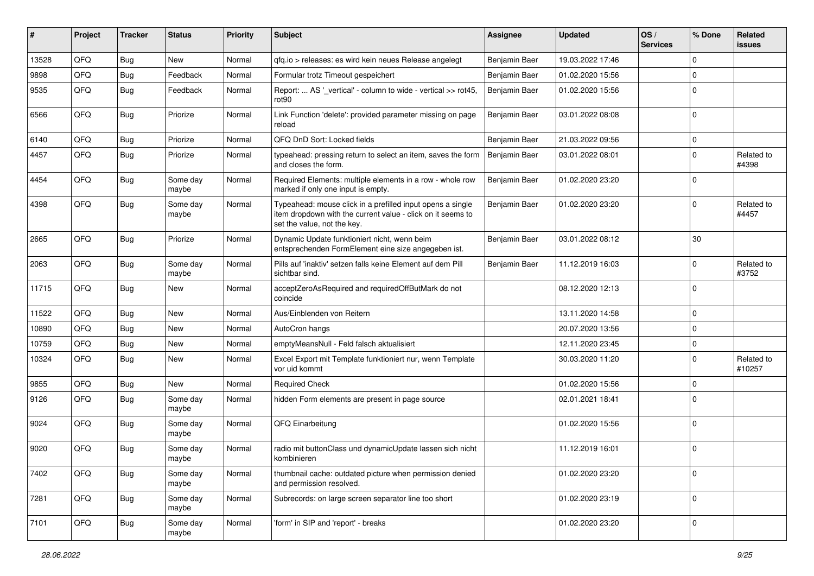| #     | Project | <b>Tracker</b> | <b>Status</b>     | <b>Priority</b> | <b>Subject</b>                                                                                                                                           | <b>Assignee</b> | <b>Updated</b>   | OS/<br><b>Services</b> | % Done      | Related<br><b>issues</b> |
|-------|---------|----------------|-------------------|-----------------|----------------------------------------------------------------------------------------------------------------------------------------------------------|-----------------|------------------|------------------------|-------------|--------------------------|
| 13528 | QFQ     | <b>Bug</b>     | <b>New</b>        | Normal          | gfg.io > releases: es wird kein neues Release angelegt                                                                                                   | Benjamin Baer   | 19.03.2022 17:46 |                        | $\Omega$    |                          |
| 9898  | QFQ     | <b>Bug</b>     | Feedback          | Normal          | Formular trotz Timeout gespeichert                                                                                                                       | Benjamin Baer   | 01.02.2020 15:56 |                        | $\Omega$    |                          |
| 9535  | QFQ     | <b>Bug</b>     | Feedback          | Normal          | Report:  AS '_vertical' - column to wide - vertical >> rot45,<br>rot <sub>90</sub>                                                                       | Benjamin Baer   | 01.02.2020 15:56 |                        | $\mathbf 0$ |                          |
| 6566  | QFQ     | <b>Bug</b>     | Priorize          | Normal          | Link Function 'delete': provided parameter missing on page<br>reload                                                                                     | Benjamin Baer   | 03.01.2022 08:08 |                        | $\Omega$    |                          |
| 6140  | QFQ     | <b>Bug</b>     | Priorize          | Normal          | QFQ DnD Sort: Locked fields                                                                                                                              | Benjamin Baer   | 21.03.2022 09:56 |                        | $\Omega$    |                          |
| 4457  | QFQ     | <b>Bug</b>     | Priorize          | Normal          | typeahead: pressing return to select an item, saves the form<br>and closes the form.                                                                     | Benjamin Baer   | 03.01.2022 08:01 |                        | $\Omega$    | Related to<br>#4398      |
| 4454  | QFQ     | <b>Bug</b>     | Some day<br>maybe | Normal          | Required Elements: multiple elements in a row - whole row<br>marked if only one input is empty.                                                          | Benjamin Baer   | 01.02.2020 23:20 |                        | $\mathbf 0$ |                          |
| 4398  | QFQ     | <b>Bug</b>     | Some day<br>maybe | Normal          | Typeahead: mouse click in a prefilled input opens a single<br>item dropdown with the current value - click on it seems to<br>set the value, not the key. | Benjamin Baer   | 01.02.2020 23:20 |                        | $\mathbf 0$ | Related to<br>#4457      |
| 2665  | QFQ     | <b>Bug</b>     | Priorize          | Normal          | Dynamic Update funktioniert nicht, wenn beim<br>entsprechenden FormElement eine size angegeben ist.                                                      | Benjamin Baer   | 03.01.2022 08:12 |                        | 30          |                          |
| 2063  | QFQ     | Bug            | Some day<br>maybe | Normal          | Pills auf 'inaktiv' setzen falls keine Element auf dem Pill<br>sichtbar sind.                                                                            | Benjamin Baer   | 11.12.2019 16:03 |                        | $\mathbf 0$ | Related to<br>#3752      |
| 11715 | QFQ     | <b>Bug</b>     | New               | Normal          | acceptZeroAsRequired and requiredOffButMark do not<br>coincide                                                                                           |                 | 08.12.2020 12:13 |                        | $\Omega$    |                          |
| 11522 | QFQ     | <b>Bug</b>     | <b>New</b>        | Normal          | Aus/Einblenden von Reitern                                                                                                                               |                 | 13.11.2020 14:58 |                        | $\mathbf 0$ |                          |
| 10890 | QFQ     | <b>Bug</b>     | New               | Normal          | AutoCron hangs                                                                                                                                           |                 | 20.07.2020 13:56 |                        | $\Omega$    |                          |
| 10759 | QFQ     | <b>Bug</b>     | <b>New</b>        | Normal          | emptyMeansNull - Feld falsch aktualisiert                                                                                                                |                 | 12.11.2020 23:45 |                        | $\Omega$    |                          |
| 10324 | QFQ     | <b>Bug</b>     | New               | Normal          | Excel Export mit Template funktioniert nur, wenn Template<br>vor uid kommt                                                                               |                 | 30.03.2020 11:20 |                        | $\mathbf 0$ | Related to<br>#10257     |
| 9855  | QFQ     | <b>Bug</b>     | <b>New</b>        | Normal          | <b>Required Check</b>                                                                                                                                    |                 | 01.02.2020 15:56 |                        | $\Omega$    |                          |
| 9126  | QFQ     | <b>Bug</b>     | Some day<br>maybe | Normal          | hidden Form elements are present in page source                                                                                                          |                 | 02.01.2021 18:41 |                        | $\Omega$    |                          |
| 9024  | QFQ     | <b>Bug</b>     | Some day<br>maybe | Normal          | QFQ Einarbeitung                                                                                                                                         |                 | 01.02.2020 15:56 |                        | $\Omega$    |                          |
| 9020  | QFQ     | Bug            | Some day<br>maybe | Normal          | radio mit buttonClass und dynamicUpdate lassen sich nicht<br>kombinieren                                                                                 |                 | 11.12.2019 16:01 |                        | $\mathbf 0$ |                          |
| 7402  | QFQ     | Bug            | Some day<br>maybe | Normal          | thumbnail cache: outdated picture when permission denied<br>and permission resolved.                                                                     |                 | 01.02.2020 23:20 |                        | $\mathbf 0$ |                          |
| 7281  | QFQ     | Bug            | Some day<br>maybe | Normal          | Subrecords: on large screen separator line too short                                                                                                     |                 | 01.02.2020 23:19 |                        | $\mathbf 0$ |                          |
| 7101  | QFQ     | <b>Bug</b>     | Some day<br>maybe | Normal          | 'form' in SIP and 'report' - breaks                                                                                                                      |                 | 01.02.2020 23:20 |                        | $\mathbf 0$ |                          |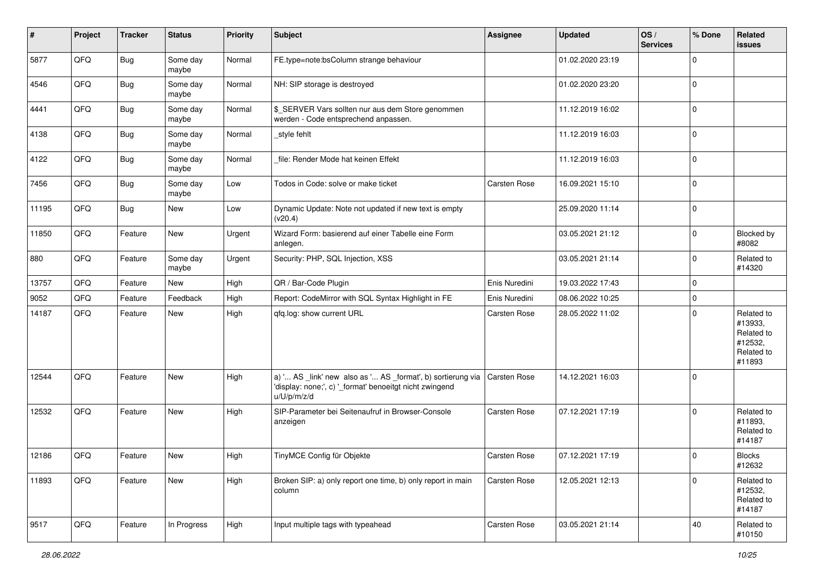| #     | Project | <b>Tracker</b> | <b>Status</b>     | <b>Priority</b> | <b>Subject</b>                                                                                                                        | Assignee            | <b>Updated</b>   | OS/<br><b>Services</b> | % Done      | Related<br>issues                                                      |
|-------|---------|----------------|-------------------|-----------------|---------------------------------------------------------------------------------------------------------------------------------------|---------------------|------------------|------------------------|-------------|------------------------------------------------------------------------|
| 5877  | QFQ     | Bug            | Some day<br>maybe | Normal          | FE.type=note:bsColumn strange behaviour                                                                                               |                     | 01.02.2020 23:19 |                        | $\Omega$    |                                                                        |
| 4546  | QFQ     | <b>Bug</b>     | Some day<br>maybe | Normal          | NH: SIP storage is destroyed                                                                                                          |                     | 01.02.2020 23:20 |                        | $\Omega$    |                                                                        |
| 4441  | QFQ     | <b>Bug</b>     | Some day<br>maybe | Normal          | \$_SERVER Vars sollten nur aus dem Store genommen<br>werden - Code entsprechend anpassen.                                             |                     | 11.12.2019 16:02 |                        | $\Omega$    |                                                                        |
| 4138  | QFQ     | <b>Bug</b>     | Some day<br>maybe | Normal          | style fehlt                                                                                                                           |                     | 11.12.2019 16:03 |                        | $\Omega$    |                                                                        |
| 4122  | QFQ     | <b>Bug</b>     | Some day<br>maybe | Normal          | file: Render Mode hat keinen Effekt                                                                                                   |                     | 11.12.2019 16:03 |                        | $\Omega$    |                                                                        |
| 7456  | QFQ     | Bug            | Some day<br>maybe | Low             | Todos in Code: solve or make ticket                                                                                                   | Carsten Rose        | 16.09.2021 15:10 |                        | $\Omega$    |                                                                        |
| 11195 | QFQ     | <b>Bug</b>     | New               | Low             | Dynamic Update: Note not updated if new text is empty<br>(v20.4)                                                                      |                     | 25.09.2020 11:14 |                        | $\Omega$    |                                                                        |
| 11850 | QFQ     | Feature        | New               | Urgent          | Wizard Form: basierend auf einer Tabelle eine Form<br>anlegen.                                                                        |                     | 03.05.2021 21:12 |                        | $\Omega$    | Blocked by<br>#8082                                                    |
| 880   | QFQ     | Feature        | Some day<br>maybe | Urgent          | Security: PHP, SQL Injection, XSS                                                                                                     |                     | 03.05.2021 21:14 |                        | $\mathbf 0$ | Related to<br>#14320                                                   |
| 13757 | QFQ     | Feature        | New               | High            | QR / Bar-Code Plugin                                                                                                                  | Enis Nuredini       | 19.03.2022 17:43 |                        | $\Omega$    |                                                                        |
| 9052  | QFQ     | Feature        | Feedback          | High            | Report: CodeMirror with SQL Syntax Highlight in FE                                                                                    | Enis Nuredini       | 08.06.2022 10:25 |                        | $\Omega$    |                                                                        |
| 14187 | QFQ     | Feature        | New               | High            | qfq.log: show current URL                                                                                                             | Carsten Rose        | 28.05.2022 11:02 |                        | $\Omega$    | Related to<br>#13933,<br>Related to<br>#12532,<br>Related to<br>#11893 |
| 12544 | QFQ     | Feature        | New               | High            | a) ' AS _link' new also as ' AS _format', b) sortierung via<br>'display: none;', c) '_format' benoeitgt nicht zwingend<br>u/U/p/m/z/d | Carsten Rose        | 14.12.2021 16:03 |                        | $\Omega$    |                                                                        |
| 12532 | QFQ     | Feature        | New               | High            | SIP-Parameter bei Seitenaufruf in Browser-Console<br>anzeigen                                                                         | Carsten Rose        | 07.12.2021 17:19 |                        | $\Omega$    | Related to<br>#11893,<br>Related to<br>#14187                          |
| 12186 | QFQ     | Feature        | New               | High            | TinyMCE Config für Objekte                                                                                                            | <b>Carsten Rose</b> | 07.12.2021 17:19 |                        | $\Omega$    | <b>Blocks</b><br>#12632                                                |
| 11893 | QFQ     | Feature        | New               | High            | Broken SIP: a) only report one time, b) only report in main<br>column                                                                 | Carsten Rose        | 12.05.2021 12:13 |                        | $\Omega$    | Related to<br>#12532,<br>Related to<br>#14187                          |
| 9517  | QFQ     | Feature        | In Progress       | High            | Input multiple tags with typeahead                                                                                                    | Carsten Rose        | 03.05.2021 21:14 |                        | 40          | Related to<br>#10150                                                   |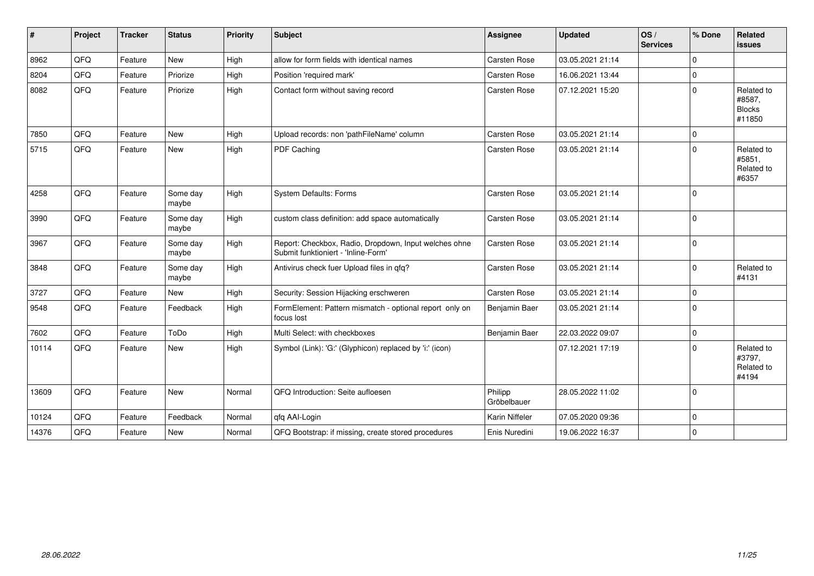| #     | Project | <b>Tracker</b> | <b>Status</b>     | <b>Priority</b> | <b>Subject</b>                                                                               | <b>Assignee</b>        | <b>Updated</b>   | OS/<br><b>Services</b> | % Done      | <b>Related</b><br><b>issues</b>                 |
|-------|---------|----------------|-------------------|-----------------|----------------------------------------------------------------------------------------------|------------------------|------------------|------------------------|-------------|-------------------------------------------------|
| 8962  | QFQ     | Feature        | <b>New</b>        | High            | allow for form fields with identical names                                                   | Carsten Rose           | 03.05.2021 21:14 |                        | $\Omega$    |                                                 |
| 8204  | QFQ     | Feature        | Priorize          | High            | Position 'required mark'                                                                     | Carsten Rose           | 16.06.2021 13:44 |                        | $\Omega$    |                                                 |
| 8082  | QFQ     | Feature        | Priorize          | High            | Contact form without saving record                                                           | <b>Carsten Rose</b>    | 07.12.2021 15:20 |                        | $\Omega$    | Related to<br>#8587,<br><b>Blocks</b><br>#11850 |
| 7850  | QFQ     | Feature        | <b>New</b>        | High            | Upload records: non 'pathFileName' column                                                    | Carsten Rose           | 03.05.2021 21:14 |                        | $\Omega$    |                                                 |
| 5715  | QFQ     | Feature        | New               | High            | PDF Caching                                                                                  | Carsten Rose           | 03.05.2021 21:14 |                        | $\Omega$    | Related to<br>#5851,<br>Related to<br>#6357     |
| 4258  | QFQ     | Feature        | Some day<br>maybe | High            | System Defaults: Forms                                                                       | <b>Carsten Rose</b>    | 03.05.2021 21:14 |                        | $\mathbf 0$ |                                                 |
| 3990  | QFQ     | Feature        | Some day<br>maybe | High            | custom class definition: add space automatically                                             | Carsten Rose           | 03.05.2021 21:14 |                        | $\Omega$    |                                                 |
| 3967  | QFQ     | Feature        | Some day<br>maybe | High            | Report: Checkbox, Radio, Dropdown, Input welches ohne<br>Submit funktioniert - 'Inline-Form' | Carsten Rose           | 03.05.2021 21:14 |                        | $\mathbf 0$ |                                                 |
| 3848  | QFQ     | Feature        | Some day<br>maybe | High            | Antivirus check fuer Upload files in qfq?                                                    | Carsten Rose           | 03.05.2021 21:14 |                        | $\Omega$    | Related to<br>#4131                             |
| 3727  | QFQ     | Feature        | New               | High            | Security: Session Hijacking erschweren                                                       | Carsten Rose           | 03.05.2021 21:14 |                        | $\Omega$    |                                                 |
| 9548  | QFQ     | Feature        | Feedback          | High            | FormElement: Pattern mismatch - optional report only on<br>focus lost                        | Benjamin Baer          | 03.05.2021 21:14 |                        | $\mathbf 0$ |                                                 |
| 7602  | QFQ     | Feature        | ToDo              | High            | Multi Select: with checkboxes                                                                | Benjamin Baer          | 22.03.2022 09:07 |                        | $\mathbf 0$ |                                                 |
| 10114 | QFQ     | Feature        | New               | High            | Symbol (Link): 'G:' (Glyphicon) replaced by 'i:' (icon)                                      |                        | 07.12.2021 17:19 |                        | $\Omega$    | Related to<br>#3797,<br>Related to<br>#4194     |
| 13609 | QFQ     | Feature        | New               | Normal          | QFQ Introduction: Seite aufloesen                                                            | Philipp<br>Gröbelbauer | 28.05.2022 11:02 |                        | $\Omega$    |                                                 |
| 10124 | QFQ     | Feature        | Feedback          | Normal          | qfq AAI-Login                                                                                | Karin Niffeler         | 07.05.2020 09:36 |                        | $\Omega$    |                                                 |
| 14376 | QFQ     | Feature        | New               | Normal          | QFQ Bootstrap: if missing, create stored procedures                                          | Enis Nuredini          | 19.06.2022 16:37 |                        | $\Omega$    |                                                 |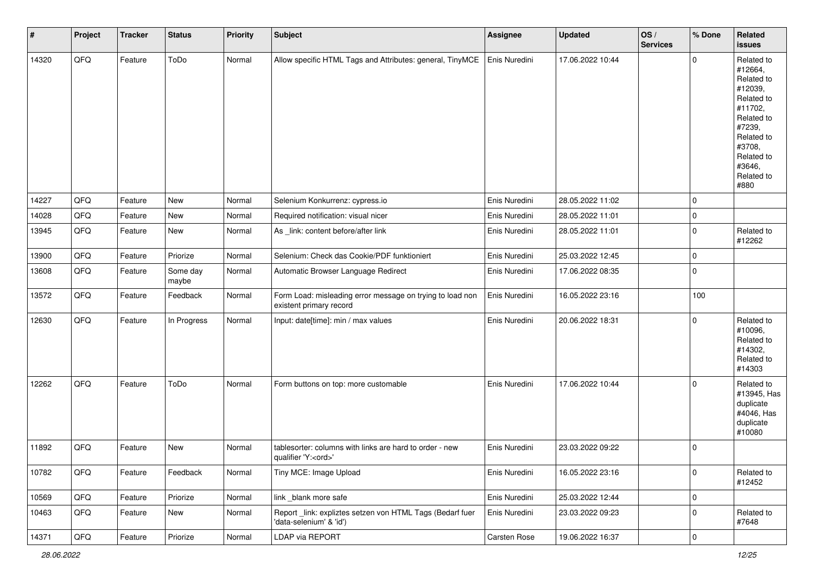| #     | Project | <b>Tracker</b> | <b>Status</b>     | <b>Priority</b> | <b>Subject</b>                                                                        | Assignee      | <b>Updated</b>   | OS/<br><b>Services</b> | % Done      | <b>Related</b><br>issues                                                                                                                                              |
|-------|---------|----------------|-------------------|-----------------|---------------------------------------------------------------------------------------|---------------|------------------|------------------------|-------------|-----------------------------------------------------------------------------------------------------------------------------------------------------------------------|
| 14320 | QFQ     | Feature        | ToDo              | Normal          | Allow specific HTML Tags and Attributes: general, TinyMCE                             | Enis Nuredini | 17.06.2022 10:44 |                        | $\mathbf 0$ | Related to<br>#12664,<br>Related to<br>#12039,<br>Related to<br>#11702,<br>Related to<br>#7239,<br>Related to<br>#3708,<br>Related to<br>#3646,<br>Related to<br>#880 |
| 14227 | QFQ     | Feature        | New               | Normal          | Selenium Konkurrenz: cypress.io                                                       | Enis Nuredini | 28.05.2022 11:02 |                        | $\mathbf 0$ |                                                                                                                                                                       |
| 14028 | QFQ     | Feature        | New               | Normal          | Required notification: visual nicer                                                   | Enis Nuredini | 28.05.2022 11:01 |                        | $\mathbf 0$ |                                                                                                                                                                       |
| 13945 | QFQ     | Feature        | New               | Normal          | As _link: content before/after link                                                   | Enis Nuredini | 28.05.2022 11:01 |                        | 0           | Related to<br>#12262                                                                                                                                                  |
| 13900 | QFQ     | Feature        | Priorize          | Normal          | Selenium: Check das Cookie/PDF funktioniert                                           | Enis Nuredini | 25.03.2022 12:45 |                        | $\mathbf 0$ |                                                                                                                                                                       |
| 13608 | QFQ     | Feature        | Some day<br>maybe | Normal          | Automatic Browser Language Redirect                                                   | Enis Nuredini | 17.06.2022 08:35 |                        | $\mathbf 0$ |                                                                                                                                                                       |
| 13572 | QFQ     | Feature        | Feedback          | Normal          | Form Load: misleading error message on trying to load non<br>existent primary record  | Enis Nuredini | 16.05.2022 23:16 |                        | 100         |                                                                                                                                                                       |
| 12630 | QFQ     | Feature        | In Progress       | Normal          | Input: date[time]: min / max values                                                   | Enis Nuredini | 20.06.2022 18:31 |                        | $\mathbf 0$ | Related to<br>#10096,<br>Related to<br>#14302,<br>Related to<br>#14303                                                                                                |
| 12262 | QFQ     | Feature        | ToDo              | Normal          | Form buttons on top: more customable                                                  | Enis Nuredini | 17.06.2022 10:44 |                        | $\Omega$    | Related to<br>#13945, Has<br>duplicate<br>#4046, Has<br>duplicate<br>#10080                                                                                           |
| 11892 | QFQ     | Feature        | New               | Normal          | tablesorter: columns with links are hard to order - new<br>qualifier 'Y: <ord>'</ord> | Enis Nuredini | 23.03.2022 09:22 |                        | $\mathbf 0$ |                                                                                                                                                                       |
| 10782 | QFQ     | Feature        | Feedback          | Normal          | Tiny MCE: Image Upload                                                                | Enis Nuredini | 16.05.2022 23:16 |                        | $\mathbf 0$ | Related to<br>#12452                                                                                                                                                  |
| 10569 | QFQ     | Feature        | Priorize          | Normal          | link _blank more safe                                                                 | Enis Nuredini | 25.03.2022 12:44 |                        | $\mathbf 0$ |                                                                                                                                                                       |
| 10463 | QFQ     | Feature        | New               | Normal          | Report_link: expliztes setzen von HTML Tags (Bedarf fuer<br>'data-selenium' & 'id')   | Enis Nuredini | 23.03.2022 09:23 |                        | $\mathbf 0$ | Related to<br>#7648                                                                                                                                                   |
| 14371 | QFQ     | Feature        | Priorize          | Normal          | LDAP via REPORT                                                                       | Carsten Rose  | 19.06.2022 16:37 |                        | $\mathbf 0$ |                                                                                                                                                                       |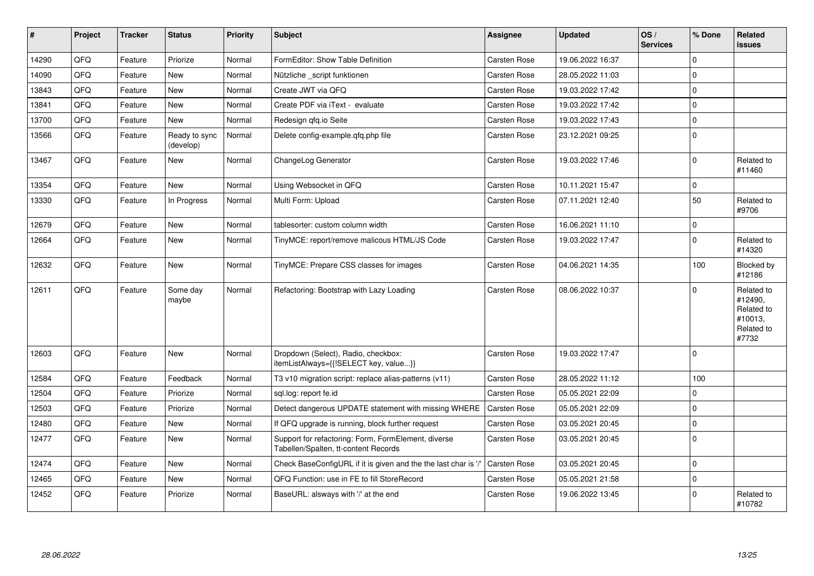| ∦     | Project | <b>Tracker</b> | <b>Status</b>              | <b>Priority</b> | <b>Subject</b>                                                                              | <b>Assignee</b>     | <b>Updated</b>   | OS/<br><b>Services</b> | % Done      | Related<br><b>issues</b>                                              |
|-------|---------|----------------|----------------------------|-----------------|---------------------------------------------------------------------------------------------|---------------------|------------------|------------------------|-------------|-----------------------------------------------------------------------|
| 14290 | QFQ     | Feature        | Priorize                   | Normal          | FormEditor: Show Table Definition                                                           | Carsten Rose        | 19.06.2022 16:37 |                        | $\Omega$    |                                                                       |
| 14090 | QFQ     | Feature        | New                        | Normal          | Nützliche script funktionen                                                                 | Carsten Rose        | 28.05.2022 11:03 |                        | $\Omega$    |                                                                       |
| 13843 | QFQ     | Feature        | <b>New</b>                 | Normal          | Create JWT via QFQ                                                                          | <b>Carsten Rose</b> | 19.03.2022 17:42 |                        | $\Omega$    |                                                                       |
| 13841 | QFQ     | Feature        | <b>New</b>                 | Normal          | Create PDF via iText - evaluate                                                             | Carsten Rose        | 19.03.2022 17:42 |                        | $\Omega$    |                                                                       |
| 13700 | QFQ     | Feature        | <b>New</b>                 | Normal          | Redesign gfg.io Seite                                                                       | Carsten Rose        | 19.03.2022 17:43 |                        | $\Omega$    |                                                                       |
| 13566 | QFQ     | Feature        | Ready to sync<br>(develop) | Normal          | Delete config-example.gfg.php file                                                          | Carsten Rose        | 23.12.2021 09:25 |                        | $\Omega$    |                                                                       |
| 13467 | QFQ     | Feature        | <b>New</b>                 | Normal          | ChangeLog Generator                                                                         | <b>Carsten Rose</b> | 19.03.2022 17:46 |                        | $\mathbf 0$ | Related to<br>#11460                                                  |
| 13354 | QFQ     | Feature        | <b>New</b>                 | Normal          | Using Websocket in QFQ                                                                      | Carsten Rose        | 10.11.2021 15:47 |                        | $\mathbf 0$ |                                                                       |
| 13330 | QFQ     | Feature        | In Progress                | Normal          | Multi Form: Upload                                                                          | Carsten Rose        | 07.11.2021 12:40 |                        | 50          | Related to<br>#9706                                                   |
| 12679 | QFQ     | Feature        | <b>New</b>                 | Normal          | tablesorter: custom column width                                                            | Carsten Rose        | 16.06.2021 11:10 |                        | $\mathbf 0$ |                                                                       |
| 12664 | QFQ     | Feature        | <b>New</b>                 | Normal          | TinyMCE: report/remove malicous HTML/JS Code                                                | <b>Carsten Rose</b> | 19.03.2022 17:47 |                        | $\Omega$    | Related to<br>#14320                                                  |
| 12632 | QFQ     | Feature        | <b>New</b>                 | Normal          | TinyMCE: Prepare CSS classes for images                                                     | Carsten Rose        | 04.06.2021 14:35 |                        | 100         | Blocked by<br>#12186                                                  |
| 12611 | QFQ     | Feature        | Some day<br>maybe          | Normal          | Refactoring: Bootstrap with Lazy Loading                                                    | Carsten Rose        | 08.06.2022 10:37 |                        | $\Omega$    | Related to<br>#12490,<br>Related to<br>#10013,<br>Related to<br>#7732 |
| 12603 | QFQ     | Feature        | New                        | Normal          | Dropdown (Select), Radio, checkbox:<br>itemListAlways={{!SELECT key, value}}                | Carsten Rose        | 19.03.2022 17:47 |                        | $\Omega$    |                                                                       |
| 12584 | QFQ     | Feature        | Feedback                   | Normal          | T3 v10 migration script: replace alias-patterns (v11)                                       | Carsten Rose        | 28.05.2022 11:12 |                        | 100         |                                                                       |
| 12504 | QFQ     | Feature        | Priorize                   | Normal          | sql.log: report fe.id                                                                       | <b>Carsten Rose</b> | 05.05.2021 22:09 |                        | $\Omega$    |                                                                       |
| 12503 | QFQ     | Feature        | Priorize                   | Normal          | Detect dangerous UPDATE statement with missing WHERE                                        | Carsten Rose        | 05.05.2021 22:09 |                        | $\Omega$    |                                                                       |
| 12480 | QFQ     | Feature        | New                        | Normal          | If QFQ upgrade is running, block further request                                            | Carsten Rose        | 03.05.2021 20:45 |                        | $\Omega$    |                                                                       |
| 12477 | QFQ     | Feature        | <b>New</b>                 | Normal          | Support for refactoring: Form, FormElement, diverse<br>Tabellen/Spalten, tt-content Records | Carsten Rose        | 03.05.2021 20:45 |                        | $\mathbf 0$ |                                                                       |
| 12474 | QFQ     | Feature        | <b>New</b>                 | Normal          | Check BaseConfigURL if it is given and the the last char is '                               | <b>Carsten Rose</b> | 03.05.2021 20:45 |                        | $\mathbf 0$ |                                                                       |
| 12465 | QFQ     | Feature        | New                        | Normal          | QFQ Function: use in FE to fill StoreRecord                                                 | Carsten Rose        | 05.05.2021 21:58 |                        | $\Omega$    |                                                                       |
| 12452 | QFQ     | Feature        | Priorize                   | Normal          | BaseURL: alsways with '/' at the end                                                        | Carsten Rose        | 19.06.2022 13:45 |                        | $\Omega$    | Related to<br>#10782                                                  |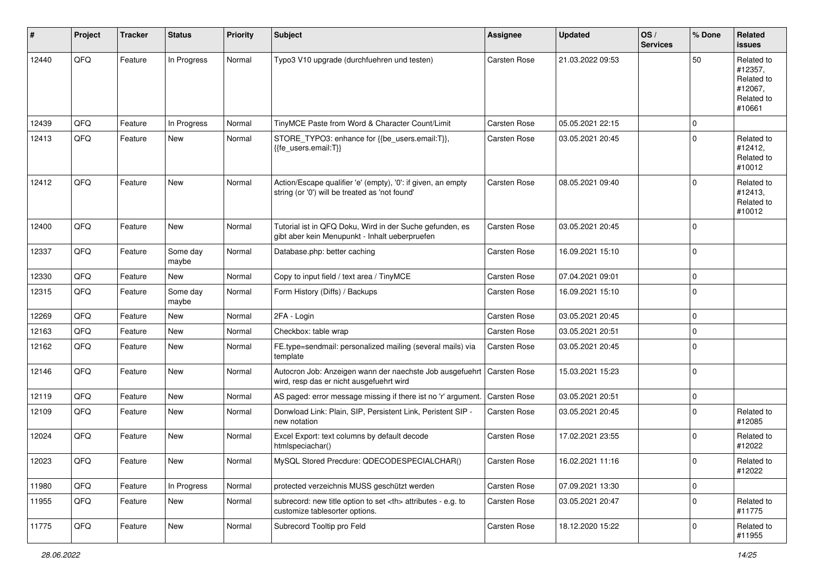| #     | Project | <b>Tracker</b> | <b>Status</b>     | <b>Priority</b> | <b>Subject</b>                                                                                                 | <b>Assignee</b>                                        | <b>Updated</b>   | OS/<br><b>Services</b> | % Done      | Related<br><b>issues</b>                                               |                      |
|-------|---------|----------------|-------------------|-----------------|----------------------------------------------------------------------------------------------------------------|--------------------------------------------------------|------------------|------------------------|-------------|------------------------------------------------------------------------|----------------------|
| 12440 | QFQ     | Feature        | In Progress       | Normal          | Typo3 V10 upgrade (durchfuehren und testen)                                                                    | Carsten Rose                                           | 21.03.2022 09:53 |                        | 50          | Related to<br>#12357,<br>Related to<br>#12067,<br>Related to<br>#10661 |                      |
| 12439 | QFQ     | Feature        | In Progress       | Normal          | TinyMCE Paste from Word & Character Count/Limit                                                                | Carsten Rose                                           | 05.05.2021 22:15 |                        | $\mathbf 0$ |                                                                        |                      |
| 12413 | QFQ     | Feature        | New               | Normal          | STORE_TYPO3: enhance for {{be_users.email:T}},<br>{{fe_users.email:T}}                                         | Carsten Rose                                           | 03.05.2021 20:45 |                        | $\mathbf 0$ | Related to<br>#12412,<br>Related to<br>#10012                          |                      |
| 12412 | QFQ     | Feature        | <b>New</b>        | Normal          | Action/Escape qualifier 'e' (empty), '0': if given, an empty<br>string (or '0') will be treated as 'not found' | Carsten Rose                                           | 08.05.2021 09:40 |                        | $\Omega$    | Related to<br>#12413,<br>Related to<br>#10012                          |                      |
| 12400 | QFQ     | Feature        | <b>New</b>        | Normal          | Tutorial ist in QFQ Doku, Wird in der Suche gefunden, es<br>gibt aber kein Menupunkt - Inhalt ueberpruefen     | Carsten Rose                                           | 03.05.2021 20:45 |                        | $\mathbf 0$ |                                                                        |                      |
| 12337 | QFQ     | Feature        | Some day<br>maybe | Normal          | Database.php: better caching                                                                                   | Carsten Rose                                           | 16.09.2021 15:10 |                        | $\Omega$    |                                                                        |                      |
| 12330 | QFQ     | Feature        | New               | Normal          | Copy to input field / text area / TinyMCE                                                                      | <b>Carsten Rose</b>                                    | 07.04.2021 09:01 |                        | $\Omega$    |                                                                        |                      |
| 12315 | QFQ     | Feature        | Some day<br>maybe | Normal          | Form History (Diffs) / Backups                                                                                 | Carsten Rose                                           | 16.09.2021 15:10 |                        | $\mathbf 0$ |                                                                        |                      |
| 12269 | QFQ     | Feature        | New               | Normal          | 2FA - Login                                                                                                    | Carsten Rose                                           | 03.05.2021 20:45 |                        | $\mathbf 0$ |                                                                        |                      |
| 12163 | QFQ     | Feature        | <b>New</b>        | Normal          | Checkbox: table wrap                                                                                           | Carsten Rose                                           | 03.05.2021 20:51 |                        | $\mathbf 0$ |                                                                        |                      |
| 12162 | QFQ     | Feature        | New               | Normal          | FE.type=sendmail: personalized mailing (several mails) via<br>template                                         | Carsten Rose                                           | 03.05.2021 20:45 |                        | $\mathbf 0$ |                                                                        |                      |
| 12146 | QFQ     | Feature        | New               | Normal          | Autocron Job: Anzeigen wann der naechste Job ausgefuehrt<br>wird, resp das er nicht ausgefuehrt wird           | Carsten Rose                                           | 15.03.2021 15:23 |                        | $\mathbf 0$ |                                                                        |                      |
| 12119 | QFQ     | Feature        | <b>New</b>        | Normal          | AS paged: error message missing if there ist no 'r' argument.                                                  | <b>Carsten Rose</b>                                    | 03.05.2021 20:51 |                        | $\mathbf 0$ |                                                                        |                      |
| 12109 | QFQ     | Feature        | New               | Normal          | Donwload Link: Plain, SIP, Persistent Link, Peristent SIP -<br>new notation                                    | Carsten Rose                                           | 03.05.2021 20:45 |                        | $\Omega$    | Related to<br>#12085                                                   |                      |
| 12024 | QFQ     | Feature        | <b>New</b>        | Normal          | Excel Export: text columns by default decode<br>htmlspeciachar()                                               | <b>Carsten Rose</b>                                    | 17.02.2021 23:55 |                        | $\Omega$    | Related to<br>#12022                                                   |                      |
| 12023 | QFQ     | Feature        | New               | Normal          | MySQL Stored Precdure: QDECODESPECIALCHAR()                                                                    | Carsten Rose                                           | 16.02.2021 11:16 |                        | 0           | Related to<br>#12022                                                   |                      |
| 11980 | QFQ     | Feature        | In Progress       | Normal          | protected verzeichnis MUSS geschützt werden                                                                    | Carsten Rose                                           | 07.09.2021 13:30 |                        | 0           |                                                                        |                      |
| 11955 | QFQ     | Feature        | New               | Normal          | subrecord: new title option to set <th> attributes - e.g. to<br/>customize tablesorter options.</th>           | attributes - e.g. to<br>customize tablesorter options. | Carsten Rose     | 03.05.2021 20:47       |             | $\mathbf 0$                                                            | Related to<br>#11775 |
| 11775 | QFQ     | Feature        | New               | Normal          | Subrecord Tooltip pro Feld                                                                                     | Carsten Rose                                           | 18.12.2020 15:22 |                        | 0           | Related to<br>#11955                                                   |                      |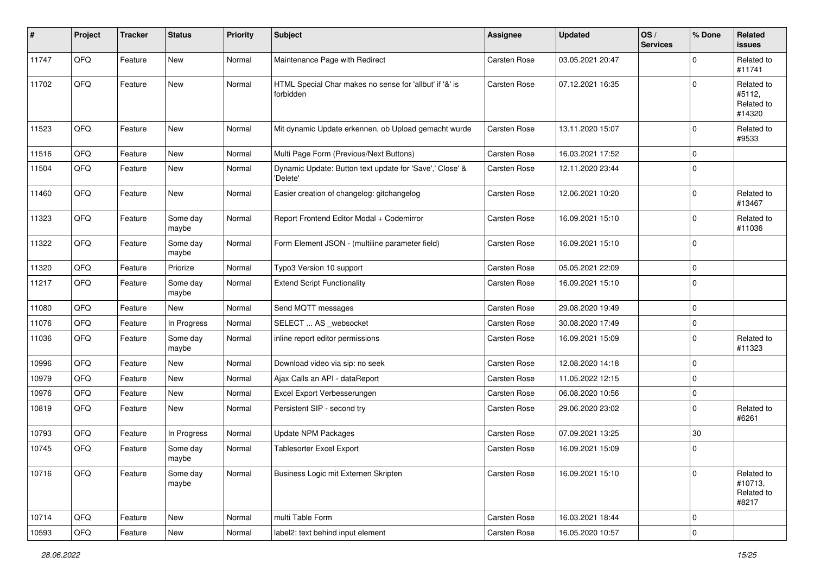| #     | Project | <b>Tracker</b> | <b>Status</b>     | <b>Priority</b> | <b>Subject</b>                                                       | <b>Assignee</b>     | <b>Updated</b>   | OS/<br><b>Services</b> | % Done      | Related<br><b>issues</b>                     |
|-------|---------|----------------|-------------------|-----------------|----------------------------------------------------------------------|---------------------|------------------|------------------------|-------------|----------------------------------------------|
| 11747 | QFQ     | Feature        | New               | Normal          | Maintenance Page with Redirect                                       | <b>Carsten Rose</b> | 03.05.2021 20:47 |                        | $\mathbf 0$ | Related to<br>#11741                         |
| 11702 | QFQ     | Feature        | New               | Normal          | HTML Special Char makes no sense for 'allbut' if '&' is<br>forbidden | Carsten Rose        | 07.12.2021 16:35 |                        | $\Omega$    | Related to<br>#5112,<br>Related to<br>#14320 |
| 11523 | QFQ     | Feature        | New               | Normal          | Mit dynamic Update erkennen, ob Upload gemacht wurde                 | Carsten Rose        | 13.11.2020 15:07 |                        | $\mathbf 0$ | Related to<br>#9533                          |
| 11516 | QFQ     | Feature        | New               | Normal          | Multi Page Form (Previous/Next Buttons)                              | Carsten Rose        | 16.03.2021 17:52 |                        | $\mathbf 0$ |                                              |
| 11504 | QFQ     | Feature        | New               | Normal          | Dynamic Update: Button text update for 'Save',' Close' &<br>'Delete' | Carsten Rose        | 12.11.2020 23:44 |                        | $\mathbf 0$ |                                              |
| 11460 | QFQ     | Feature        | New               | Normal          | Easier creation of changelog: gitchangelog                           | Carsten Rose        | 12.06.2021 10:20 |                        | $\mathbf 0$ | Related to<br>#13467                         |
| 11323 | QFQ     | Feature        | Some day<br>maybe | Normal          | Report Frontend Editor Modal + Codemirror                            | Carsten Rose        | 16.09.2021 15:10 |                        | $\mathbf 0$ | Related to<br>#11036                         |
| 11322 | QFQ     | Feature        | Some day<br>maybe | Normal          | Form Element JSON - (multiline parameter field)                      | Carsten Rose        | 16.09.2021 15:10 |                        | $\mathbf 0$ |                                              |
| 11320 | QFQ     | Feature        | Priorize          | Normal          | Typo3 Version 10 support                                             | <b>Carsten Rose</b> | 05.05.2021 22:09 |                        | $\mathbf 0$ |                                              |
| 11217 | QFQ     | Feature        | Some day<br>maybe | Normal          | <b>Extend Script Functionality</b>                                   | Carsten Rose        | 16.09.2021 15:10 |                        | $\mathbf 0$ |                                              |
| 11080 | QFQ     | Feature        | New               | Normal          | Send MQTT messages                                                   | Carsten Rose        | 29.08.2020 19:49 |                        | $\mathbf 0$ |                                              |
| 11076 | QFQ     | Feature        | In Progress       | Normal          | SELECT  AS _websocket                                                | Carsten Rose        | 30.08.2020 17:49 |                        | $\mathbf 0$ |                                              |
| 11036 | QFQ     | Feature        | Some day<br>maybe | Normal          | inline report editor permissions                                     | Carsten Rose        | 16.09.2021 15:09 |                        | $\mathbf 0$ | Related to<br>#11323                         |
| 10996 | QFQ     | Feature        | New               | Normal          | Download video via sip: no seek                                      | <b>Carsten Rose</b> | 12.08.2020 14:18 |                        | $\mathbf 0$ |                                              |
| 10979 | QFQ     | Feature        | New               | Normal          | Ajax Calls an API - dataReport                                       | <b>Carsten Rose</b> | 11.05.2022 12:15 |                        | $\mathbf 0$ |                                              |
| 10976 | QFQ     | Feature        | New               | Normal          | Excel Export Verbesserungen                                          | <b>Carsten Rose</b> | 06.08.2020 10:56 |                        | $\mathbf 0$ |                                              |
| 10819 | QFQ     | Feature        | New               | Normal          | Persistent SIP - second try                                          | Carsten Rose        | 29.06.2020 23:02 |                        | $\mathbf 0$ | Related to<br>#6261                          |
| 10793 | QFQ     | Feature        | In Progress       | Normal          | Update NPM Packages                                                  | Carsten Rose        | 07.09.2021 13:25 |                        | 30          |                                              |
| 10745 | QFQ     | Feature        | Some day<br>maybe | Normal          | Tablesorter Excel Export                                             | Carsten Rose        | 16.09.2021 15:09 |                        | $\mathbf 0$ |                                              |
| 10716 | QFQ     | Feature        | Some day<br>maybe | Normal          | Business Logic mit Externen Skripten                                 | Carsten Rose        | 16.09.2021 15:10 |                        | $\mathbf 0$ | Related to<br>#10713,<br>Related to<br>#8217 |
| 10714 | QFQ     | Feature        | New               | Normal          | multi Table Form                                                     | Carsten Rose        | 16.03.2021 18:44 |                        | 0           |                                              |
| 10593 | QFQ     | Feature        | New               | Normal          | label2: text behind input element                                    | Carsten Rose        | 16.05.2020 10:57 |                        | $\pmb{0}$   |                                              |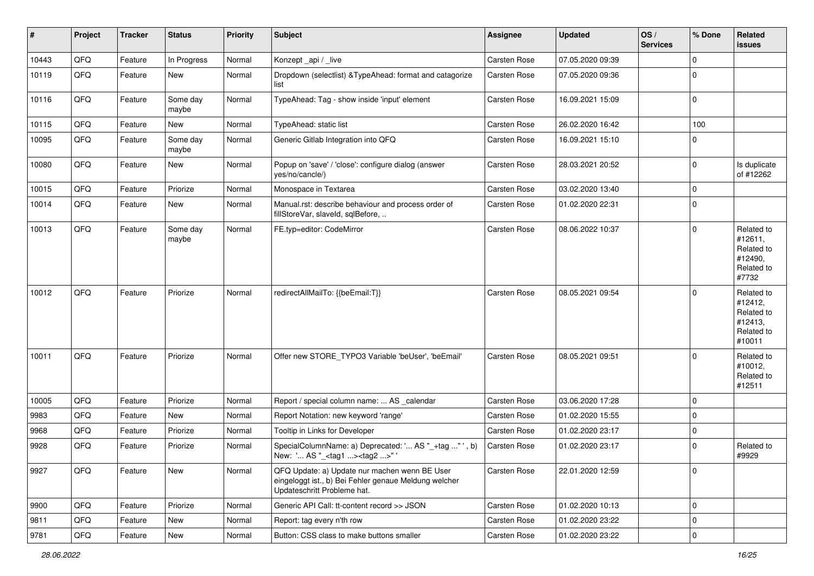| #     | Project | <b>Tracker</b> | <b>Status</b>     | <b>Priority</b> | <b>Subject</b>                                                                                                                        | <b>Assignee</b> | <b>Updated</b>   | OS/<br><b>Services</b> | % Done      | Related<br>issues                                                      |
|-------|---------|----------------|-------------------|-----------------|---------------------------------------------------------------------------------------------------------------------------------------|-----------------|------------------|------------------------|-------------|------------------------------------------------------------------------|
| 10443 | QFQ     | Feature        | In Progress       | Normal          | Konzept_api / _live                                                                                                                   | Carsten Rose    | 07.05.2020 09:39 |                        | $\mathbf 0$ |                                                                        |
| 10119 | QFQ     | Feature        | New               | Normal          | Dropdown (selectlist) & TypeAhead: format and catagorize<br>list                                                                      | Carsten Rose    | 07.05.2020 09:36 |                        | $\Omega$    |                                                                        |
| 10116 | QFQ     | Feature        | Some day<br>maybe | Normal          | TypeAhead: Tag - show inside 'input' element                                                                                          | Carsten Rose    | 16.09.2021 15:09 |                        | $\mathbf 0$ |                                                                        |
| 10115 | QFQ     | Feature        | New               | Normal          | TypeAhead: static list                                                                                                                | Carsten Rose    | 26.02.2020 16:42 |                        | 100         |                                                                        |
| 10095 | QFQ     | Feature        | Some day<br>maybe | Normal          | Generic Gitlab Integration into QFQ                                                                                                   | Carsten Rose    | 16.09.2021 15:10 |                        | $\Omega$    |                                                                        |
| 10080 | QFQ     | Feature        | New               | Normal          | Popup on 'save' / 'close': configure dialog (answer<br>yes/no/cancle/)                                                                | Carsten Rose    | 28.03.2021 20:52 |                        | $\mathbf 0$ | Is duplicate<br>of #12262                                              |
| 10015 | QFQ     | Feature        | Priorize          | Normal          | Monospace in Textarea                                                                                                                 | Carsten Rose    | 03.02.2020 13:40 |                        | $\Omega$    |                                                                        |
| 10014 | QFQ     | Feature        | New               | Normal          | Manual.rst: describe behaviour and process order of<br>fillStoreVar, slaveId, sqlBefore,                                              | Carsten Rose    | 01.02.2020 22:31 |                        | $\mathbf 0$ |                                                                        |
| 10013 | QFQ     | Feature        | Some day<br>maybe | Normal          | FE.typ=editor: CodeMirror                                                                                                             | Carsten Rose    | 08.06.2022 10:37 |                        | $\mathbf 0$ | Related to<br>#12611,<br>Related to<br>#12490,<br>Related to<br>#7732  |
| 10012 | QFQ     | Feature        | Priorize          | Normal          | redirectAllMailTo: {{beEmail:T}}                                                                                                      | Carsten Rose    | 08.05.2021 09:54 |                        | $\Omega$    | Related to<br>#12412,<br>Related to<br>#12413,<br>Related to<br>#10011 |
| 10011 | QFQ     | Feature        | Priorize          | Normal          | Offer new STORE_TYPO3 Variable 'beUser', 'beEmail'                                                                                    | Carsten Rose    | 08.05.2021 09:51 |                        | $\Omega$    | Related to<br>#10012,<br>Related to<br>#12511                          |
| 10005 | QFQ     | Feature        | Priorize          | Normal          | Report / special column name:  AS _calendar                                                                                           | Carsten Rose    | 03.06.2020 17:28 |                        | $\mathbf 0$ |                                                                        |
| 9983  | QFQ     | Feature        | New               | Normal          | Report Notation: new keyword 'range'                                                                                                  | Carsten Rose    | 01.02.2020 15:55 |                        | $\Omega$    |                                                                        |
| 9968  | QFQ     | Feature        | Priorize          | Normal          | Tooltip in Links for Developer                                                                                                        | Carsten Rose    | 01.02.2020 23:17 |                        | $\mathbf 0$ |                                                                        |
| 9928  | QFQ     | Feature        | Priorize          | Normal          | SpecialColumnName: a) Deprecated: ' AS "_+tag " ', b)<br>New: ' AS "_ <tag1><tag2>" '</tag2></tag1>                                   | Carsten Rose    | 01.02.2020 23:17 |                        | $\Omega$    | Related to<br>#9929                                                    |
| 9927  | QFG     | Feature        | New               | Normal          | QFQ Update: a) Update nur machen wenn BE User<br>eingeloggt ist., b) Bei Fehler genaue Meldung welcher<br>Updateschritt Probleme hat. | Carsten Rose    | 22.01.2020 12:59 |                        | $\mathbf 0$ |                                                                        |
| 9900  | QFQ     | Feature        | Priorize          | Normal          | Generic API Call: tt-content record >> JSON                                                                                           | Carsten Rose    | 01.02.2020 10:13 |                        | $\mathbf 0$ |                                                                        |
| 9811  | QFQ     | Feature        | New               | Normal          | Report: tag every n'th row                                                                                                            | Carsten Rose    | 01.02.2020 23:22 |                        | $\mathbf 0$ |                                                                        |
| 9781  | QFQ     | Feature        | New               | Normal          | Button: CSS class to make buttons smaller                                                                                             | Carsten Rose    | 01.02.2020 23:22 |                        | $\mathbf 0$ |                                                                        |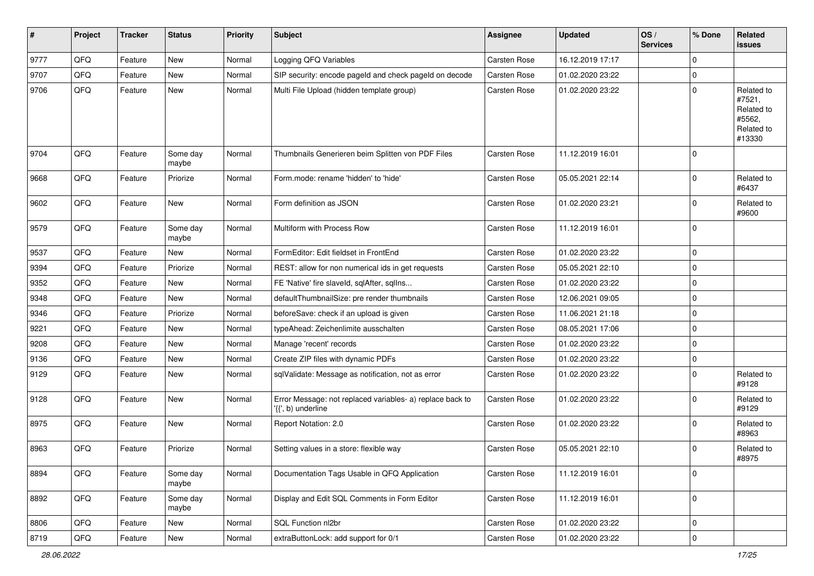| #    | Project | <b>Tracker</b> | <b>Status</b>     | <b>Priority</b> | <b>Subject</b>                                                                  | <b>Assignee</b> | <b>Updated</b>   | OS/<br><b>Services</b> | % Done      | Related<br>issues                                                    |
|------|---------|----------------|-------------------|-----------------|---------------------------------------------------------------------------------|-----------------|------------------|------------------------|-------------|----------------------------------------------------------------------|
| 9777 | QFQ     | Feature        | New               | Normal          | Logging QFQ Variables                                                           | Carsten Rose    | 16.12.2019 17:17 |                        | $\mathbf 0$ |                                                                      |
| 9707 | QFQ     | Feature        | New               | Normal          | SIP security: encode pageld and check pageld on decode                          | Carsten Rose    | 01.02.2020 23:22 |                        | $\Omega$    |                                                                      |
| 9706 | QFQ     | Feature        | New               | Normal          | Multi File Upload (hidden template group)                                       | Carsten Rose    | 01.02.2020 23:22 |                        | $\mathbf 0$ | Related to<br>#7521,<br>Related to<br>#5562,<br>Related to<br>#13330 |
| 9704 | QFQ     | Feature        | Some day<br>maybe | Normal          | Thumbnails Generieren beim Splitten von PDF Files                               | Carsten Rose    | 11.12.2019 16:01 |                        | $\mathbf 0$ |                                                                      |
| 9668 | QFQ     | Feature        | Priorize          | Normal          | Form.mode: rename 'hidden' to 'hide'                                            | Carsten Rose    | 05.05.2021 22:14 |                        | $\Omega$    | Related to<br>#6437                                                  |
| 9602 | QFQ     | Feature        | New               | Normal          | Form definition as JSON                                                         | Carsten Rose    | 01.02.2020 23:21 |                        | $\mathbf 0$ | Related to<br>#9600                                                  |
| 9579 | QFQ     | Feature        | Some day<br>maybe | Normal          | Multiform with Process Row                                                      | Carsten Rose    | 11.12.2019 16:01 |                        | $\mathbf 0$ |                                                                      |
| 9537 | QFQ     | Feature        | New               | Normal          | FormEditor: Edit fieldset in FrontEnd                                           | Carsten Rose    | 01.02.2020 23:22 |                        | $\mathbf 0$ |                                                                      |
| 9394 | QFQ     | Feature        | Priorize          | Normal          | REST: allow for non numerical ids in get requests                               | Carsten Rose    | 05.05.2021 22:10 |                        | $\mathbf 0$ |                                                                      |
| 9352 | QFQ     | Feature        | New               | Normal          | FE 'Native' fire slaveld, sqlAfter, sqllns                                      | Carsten Rose    | 01.02.2020 23:22 |                        | $\Omega$    |                                                                      |
| 9348 | QFQ     | Feature        | <b>New</b>        | Normal          | defaultThumbnailSize: pre render thumbnails                                     | Carsten Rose    | 12.06.2021 09:05 |                        | $\mathbf 0$ |                                                                      |
| 9346 | QFQ     | Feature        | Priorize          | Normal          | beforeSave: check if an upload is given                                         | Carsten Rose    | 11.06.2021 21:18 |                        | $\mathbf 0$ |                                                                      |
| 9221 | QFQ     | Feature        | New               | Normal          | typeAhead: Zeichenlimite ausschalten                                            | Carsten Rose    | 08.05.2021 17:06 |                        | $\Omega$    |                                                                      |
| 9208 | QFQ     | Feature        | New               | Normal          | Manage 'recent' records                                                         | Carsten Rose    | 01.02.2020 23:22 |                        | $\mathbf 0$ |                                                                      |
| 9136 | QFQ     | Feature        | <b>New</b>        | Normal          | Create ZIP files with dynamic PDFs                                              | Carsten Rose    | 01.02.2020 23:22 |                        | $\Omega$    |                                                                      |
| 9129 | QFQ     | Feature        | New               | Normal          | sqlValidate: Message as notification, not as error                              | Carsten Rose    | 01.02.2020 23:22 |                        | $\mathbf 0$ | Related to<br>#9128                                                  |
| 9128 | QFQ     | Feature        | New               | Normal          | Error Message: not replaced variables- a) replace back to<br>'{{', b) underline | Carsten Rose    | 01.02.2020 23:22 |                        | $\Omega$    | Related to<br>#9129                                                  |
| 8975 | QFQ     | Feature        | <b>New</b>        | Normal          | Report Notation: 2.0                                                            | Carsten Rose    | 01.02.2020 23:22 |                        | $\mathbf 0$ | Related to<br>#8963                                                  |
| 8963 | QFQ     | Feature        | Priorize          | Normal          | Setting values in a store: flexible way                                         | Carsten Rose    | 05.05.2021 22:10 |                        | $\mathbf 0$ | Related to<br>#8975                                                  |
| 8894 | QFQ     | Feature        | Some day<br>maybe | Normal          | Documentation Tags Usable in QFQ Application                                    | Carsten Rose    | 11.12.2019 16:01 |                        | $\mathbf 0$ |                                                                      |
| 8892 | QFQ     | Feature        | Some day<br>maybe | Normal          | Display and Edit SQL Comments in Form Editor                                    | Carsten Rose    | 11.12.2019 16:01 |                        | $\mathbf 0$ |                                                                      |
| 8806 | QFQ     | Feature        | New               | Normal          | SQL Function nl2br                                                              | Carsten Rose    | 01.02.2020 23:22 |                        | $\mathbf 0$ |                                                                      |
| 8719 | QFG     | Feature        | New               | Normal          | extraButtonLock: add support for 0/1                                            | Carsten Rose    | 01.02.2020 23:22 |                        | $\mathbf 0$ |                                                                      |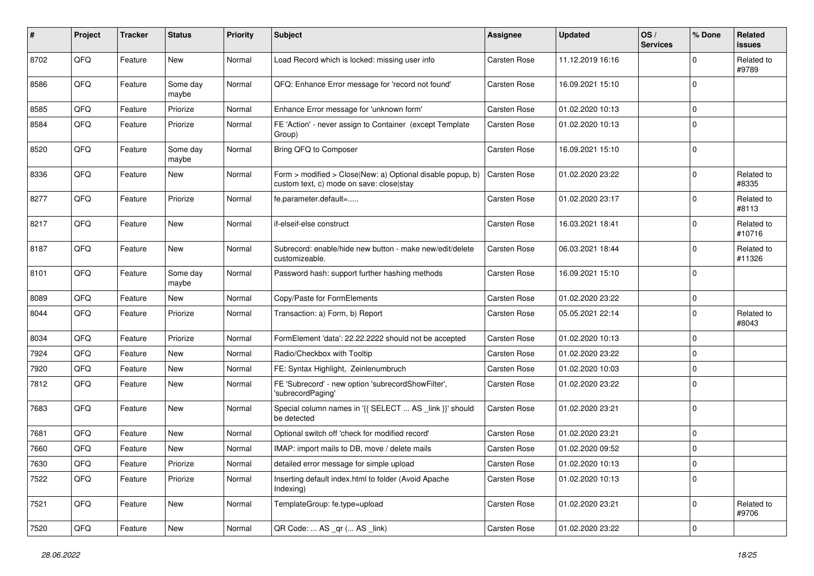| $\sharp$ | Project | <b>Tracker</b> | <b>Status</b>     | <b>Priority</b> | <b>Subject</b>                                                                                         | <b>Assignee</b>     | <b>Updated</b>   | OS/<br><b>Services</b> | % Done      | <b>Related</b><br><b>issues</b> |
|----------|---------|----------------|-------------------|-----------------|--------------------------------------------------------------------------------------------------------|---------------------|------------------|------------------------|-------------|---------------------------------|
| 8702     | QFQ     | Feature        | <b>New</b>        | Normal          | Load Record which is locked: missing user info                                                         | Carsten Rose        | 11.12.2019 16:16 |                        | $\Omega$    | Related to<br>#9789             |
| 8586     | QFQ     | Feature        | Some day<br>maybe | Normal          | QFQ: Enhance Error message for 'record not found'                                                      | Carsten Rose        | 16.09.2021 15:10 |                        | $\Omega$    |                                 |
| 8585     | QFQ     | Feature        | Priorize          | Normal          | Enhance Error message for 'unknown form'                                                               | Carsten Rose        | 01.02.2020 10:13 |                        | $\Omega$    |                                 |
| 8584     | QFQ     | Feature        | Priorize          | Normal          | FE 'Action' - never assign to Container (except Template<br>Group)                                     | Carsten Rose        | 01.02.2020 10:13 |                        | $\Omega$    |                                 |
| 8520     | QFQ     | Feature        | Some day<br>maybe | Normal          | Bring QFQ to Composer                                                                                  | <b>Carsten Rose</b> | 16.09.2021 15:10 |                        | $\Omega$    |                                 |
| 8336     | QFQ     | Feature        | New               | Normal          | Form > modified > Close New: a) Optional disable popup, b)<br>custom text, c) mode on save: close stay | <b>Carsten Rose</b> | 01.02.2020 23:22 |                        | $\Omega$    | Related to<br>#8335             |
| 8277     | QFQ     | Feature        | Priorize          | Normal          | fe.parameter.default=                                                                                  | Carsten Rose        | 01.02.2020 23:17 |                        | $\Omega$    | Related to<br>#8113             |
| 8217     | QFQ     | Feature        | New               | Normal          | if-elseif-else construct                                                                               | Carsten Rose        | 16.03.2021 18:41 |                        | $\Omega$    | Related to<br>#10716            |
| 8187     | QFQ     | Feature        | New               | Normal          | Subrecord: enable/hide new button - make new/edit/delete<br>customizeable.                             | Carsten Rose        | 06.03.2021 18:44 |                        | $\Omega$    | Related to<br>#11326            |
| 8101     | QFQ     | Feature        | Some day<br>maybe | Normal          | Password hash: support further hashing methods                                                         | Carsten Rose        | 16.09.2021 15:10 |                        | $\Omega$    |                                 |
| 8089     | QFQ     | Feature        | <b>New</b>        | Normal          | Copy/Paste for FormElements                                                                            | Carsten Rose        | 01.02.2020 23:22 |                        | $\Omega$    |                                 |
| 8044     | QFQ     | Feature        | Priorize          | Normal          | Transaction: a) Form, b) Report                                                                        | Carsten Rose        | 05.05.2021 22:14 |                        | $\mathbf 0$ | Related to<br>#8043             |
| 8034     | QFQ     | Feature        | Priorize          | Normal          | FormElement 'data': 22.22.2222 should not be accepted                                                  | <b>Carsten Rose</b> | 01.02.2020 10:13 |                        | $\Omega$    |                                 |
| 7924     | QFQ     | Feature        | New               | Normal          | Radio/Checkbox with Tooltip                                                                            | Carsten Rose        | 01.02.2020 23:22 |                        | $\Omega$    |                                 |
| 7920     | QFQ     | Feature        | <b>New</b>        | Normal          | FE: Syntax Highlight, Zeinlenumbruch                                                                   | <b>Carsten Rose</b> | 01.02.2020 10:03 |                        | $\Omega$    |                                 |
| 7812     | QFQ     | Feature        | New               | Normal          | FE 'Subrecord' - new option 'subrecordShowFilter',<br>'subrecordPaging'                                | Carsten Rose        | 01.02.2020 23:22 |                        | $\Omega$    |                                 |
| 7683     | QFQ     | Feature        | <b>New</b>        | Normal          | Special column names in '{{ SELECT  AS _link }}' should<br>be detected                                 | Carsten Rose        | 01.02.2020 23:21 |                        | $\mathbf 0$ |                                 |
| 7681     | QFQ     | Feature        | <b>New</b>        | Normal          | Optional switch off 'check for modified record'                                                        | Carsten Rose        | 01.02.2020 23:21 |                        | $\Omega$    |                                 |
| 7660     | QFQ     | Feature        | <b>New</b>        | Normal          | IMAP: import mails to DB, move / delete mails                                                          | <b>Carsten Rose</b> | 01.02.2020 09:52 |                        | $\Omega$    |                                 |
| 7630     | QFQ     | Feature        | Priorize          | Normal          | detailed error message for simple upload                                                               | Carsten Rose        | 01.02.2020 10:13 |                        | 0           |                                 |
| 7522     | QFQ     | Feature        | Priorize          | Normal          | Inserting default index.html to folder (Avoid Apache<br>Indexing)                                      | Carsten Rose        | 01.02.2020 10:13 |                        | 0           |                                 |
| 7521     | QFQ     | Feature        | New               | Normal          | TemplateGroup: fe.type=upload                                                                          | Carsten Rose        | 01.02.2020 23:21 |                        | 0           | Related to<br>#9706             |
| 7520     | QFQ     | Feature        | New               | Normal          | QR Code:  AS _qr ( AS _link)                                                                           | Carsten Rose        | 01.02.2020 23:22 |                        | $\pmb{0}$   |                                 |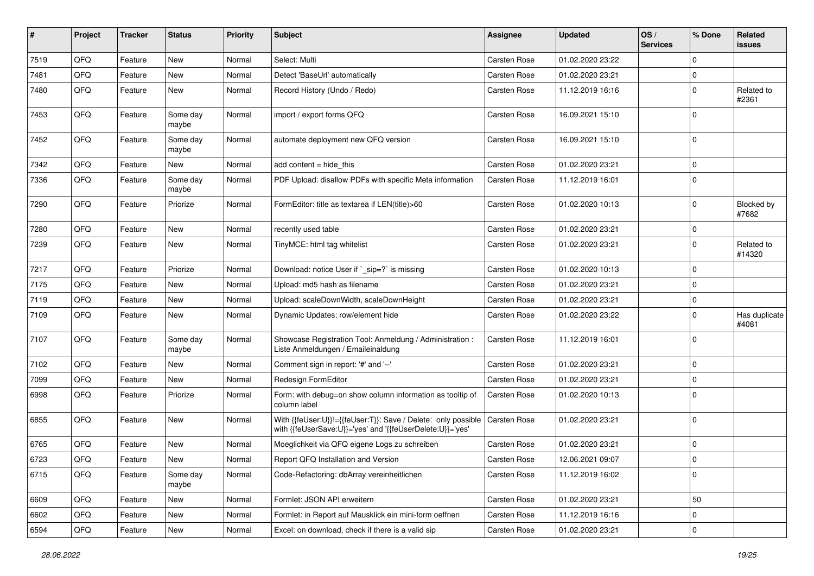| #    | Project | <b>Tracker</b> | <b>Status</b>     | <b>Priority</b> | <b>Subject</b>                                                                                                             | <b>Assignee</b> | <b>Updated</b>   | OS/<br><b>Services</b> | % Done      | <b>Related</b><br><b>issues</b> |
|------|---------|----------------|-------------------|-----------------|----------------------------------------------------------------------------------------------------------------------------|-----------------|------------------|------------------------|-------------|---------------------------------|
| 7519 | QFQ     | Feature        | <b>New</b>        | Normal          | Select: Multi                                                                                                              | Carsten Rose    | 01.02.2020 23:22 |                        | $\Omega$    |                                 |
| 7481 | QFQ     | Feature        | New               | Normal          | Detect 'BaseUrl' automatically                                                                                             | Carsten Rose    | 01.02.2020 23:21 |                        | $\Omega$    |                                 |
| 7480 | QFQ     | Feature        | New               | Normal          | Record History (Undo / Redo)                                                                                               | Carsten Rose    | 11.12.2019 16:16 |                        | $\mathbf 0$ | Related to<br>#2361             |
| 7453 | QFQ     | Feature        | Some day<br>maybe | Normal          | import / export forms QFQ                                                                                                  | Carsten Rose    | 16.09.2021 15:10 |                        | $\Omega$    |                                 |
| 7452 | QFQ     | Feature        | Some day<br>maybe | Normal          | automate deployment new QFQ version                                                                                        | Carsten Rose    | 16.09.2021 15:10 |                        | $\mathbf 0$ |                                 |
| 7342 | QFQ     | Feature        | New               | Normal          | add content = hide_this                                                                                                    | Carsten Rose    | 01.02.2020 23:21 |                        | $\mathbf 0$ |                                 |
| 7336 | QFQ     | Feature        | Some day<br>maybe | Normal          | PDF Upload: disallow PDFs with specific Meta information                                                                   | Carsten Rose    | 11.12.2019 16:01 |                        | $\mathbf 0$ |                                 |
| 7290 | QFQ     | Feature        | Priorize          | Normal          | FormEditor: title as textarea if LEN(title)>60                                                                             | Carsten Rose    | 01.02.2020 10:13 |                        | $\mathbf 0$ | Blocked by<br>#7682             |
| 7280 | QFQ     | Feature        | <b>New</b>        | Normal          | recently used table                                                                                                        | Carsten Rose    | 01.02.2020 23:21 |                        | $\mathbf 0$ |                                 |
| 7239 | QFQ     | Feature        | New               | Normal          | TinyMCE: html tag whitelist                                                                                                | Carsten Rose    | 01.02.2020 23:21 |                        | $\mathbf 0$ | Related to<br>#14320            |
| 7217 | QFQ     | Feature        | Priorize          | Normal          | Download: notice User if `_sip=?` is missing                                                                               | Carsten Rose    | 01.02.2020 10:13 |                        | $\mathbf 0$ |                                 |
| 7175 | QFQ     | Feature        | New               | Normal          | Upload: md5 hash as filename                                                                                               | Carsten Rose    | 01.02.2020 23:21 |                        | $\mathbf 0$ |                                 |
| 7119 | QFQ     | Feature        | New               | Normal          | Upload: scaleDownWidth, scaleDownHeight                                                                                    | Carsten Rose    | 01.02.2020 23:21 |                        | $\Omega$    |                                 |
| 7109 | QFQ     | Feature        | New               | Normal          | Dynamic Updates: row/element hide                                                                                          | Carsten Rose    | 01.02.2020 23:22 |                        | $\mathbf 0$ | Has duplicate<br>#4081          |
| 7107 | QFQ     | Feature        | Some day<br>maybe | Normal          | Showcase Registration Tool: Anmeldung / Administration :<br>Liste Anmeldungen / Emaileinaldung                             | Carsten Rose    | 11.12.2019 16:01 |                        | $\mathbf 0$ |                                 |
| 7102 | QFQ     | Feature        | New               | Normal          | Comment sign in report: '#' and '--'                                                                                       | Carsten Rose    | 01.02.2020 23:21 |                        | $\Omega$    |                                 |
| 7099 | QFQ     | Feature        | New               | Normal          | Redesign FormEditor                                                                                                        | Carsten Rose    | 01.02.2020 23:21 |                        | $\mathbf 0$ |                                 |
| 6998 | QFQ     | Feature        | Priorize          | Normal          | Form: with debug=on show column information as tooltip of<br>column label                                                  | Carsten Rose    | 01.02.2020 10:13 |                        | $\Omega$    |                                 |
| 6855 | QFQ     | Feature        | New               | Normal          | With {{feUser:U}}!={{feUser:T}}: Save / Delete: only possible<br>with {{feUserSave:U}}='yes' and '{{feUserDelete:U}}='yes' | Carsten Rose    | 01.02.2020 23:21 |                        | $\mathbf 0$ |                                 |
| 6765 | QFQ     | Feature        | New               | Normal          | Moeglichkeit via QFQ eigene Logs zu schreiben                                                                              | Carsten Rose    | 01.02.2020 23:21 |                        | $\mathbf 0$ |                                 |
| 6723 | QFQ     | Feature        | New               | Normal          | Report QFQ Installation and Version                                                                                        | Carsten Rose    | 12.06.2021 09:07 |                        | $\Omega$    |                                 |
| 6715 | QFQ     | Feature        | Some day<br>maybe | Normal          | Code-Refactoring: dbArray vereinheitlichen                                                                                 | Carsten Rose    | 11.12.2019 16:02 |                        | $\mathbf 0$ |                                 |
| 6609 | QFQ     | Feature        | New               | Normal          | Formlet: JSON API erweitern                                                                                                | Carsten Rose    | 01.02.2020 23:21 |                        | 50          |                                 |
| 6602 | QFQ     | Feature        | New               | Normal          | Formlet: in Report auf Mausklick ein mini-form oeffnen                                                                     | Carsten Rose    | 11.12.2019 16:16 |                        | $\Omega$    |                                 |
| 6594 | QFQ     | Feature        | New               | Normal          | Excel: on download, check if there is a valid sip                                                                          | Carsten Rose    | 01.02.2020 23:21 |                        | $\mathbf 0$ |                                 |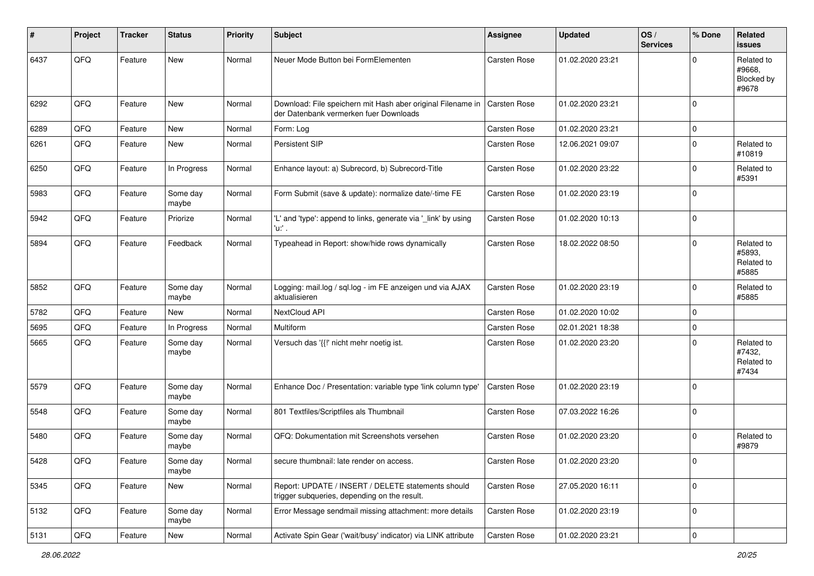| #    | Project | <b>Tracker</b> | <b>Status</b>     | <b>Priority</b> | <b>Subject</b>                                                                                                       | Assignee            | <b>Updated</b>   | OS/<br><b>Services</b> | % Done    | <b>Related</b><br><b>issues</b>             |
|------|---------|----------------|-------------------|-----------------|----------------------------------------------------------------------------------------------------------------------|---------------------|------------------|------------------------|-----------|---------------------------------------------|
| 6437 | QFQ     | Feature        | New               | Normal          | Neuer Mode Button bei FormElementen                                                                                  | <b>Carsten Rose</b> | 01.02.2020 23:21 |                        | $\Omega$  | Related to<br>#9668,<br>Blocked by<br>#9678 |
| 6292 | QFQ     | Feature        | New               | Normal          | Download: File speichern mit Hash aber original Filename in   Carsten Rose<br>der Datenbank vermerken fuer Downloads |                     | 01.02.2020 23:21 |                        | $\Omega$  |                                             |
| 6289 | QFQ     | Feature        | New               | Normal          | Form: Log                                                                                                            | Carsten Rose        | 01.02.2020 23:21 |                        | $\Omega$  |                                             |
| 6261 | QFQ     | Feature        | New               | Normal          | Persistent SIP                                                                                                       | Carsten Rose        | 12.06.2021 09:07 |                        | $\Omega$  | Related to<br>#10819                        |
| 6250 | QFQ     | Feature        | In Progress       | Normal          | Enhance layout: a) Subrecord, b) Subrecord-Title                                                                     | Carsten Rose        | 01.02.2020 23:22 |                        | $\Omega$  | Related to<br>#5391                         |
| 5983 | QFQ     | Feature        | Some day<br>maybe | Normal          | Form Submit (save & update): normalize date/-time FE                                                                 | Carsten Rose        | 01.02.2020 23:19 |                        | $\Omega$  |                                             |
| 5942 | QFQ     | Feature        | Priorize          | Normal          | 'L' and 'type': append to links, generate via '_link' by using<br>'u:' .                                             | Carsten Rose        | 01.02.2020 10:13 |                        | $\Omega$  |                                             |
| 5894 | QFQ     | Feature        | Feedback          | Normal          | Typeahead in Report: show/hide rows dynamically                                                                      | <b>Carsten Rose</b> | 18.02.2022 08:50 |                        | $\Omega$  | Related to<br>#5893,<br>Related to<br>#5885 |
| 5852 | QFQ     | Feature        | Some day<br>maybe | Normal          | Logging: mail.log / sql.log - im FE anzeigen und via AJAX<br>aktualisieren                                           | <b>Carsten Rose</b> | 01.02.2020 23:19 |                        | $\Omega$  | Related to<br>#5885                         |
| 5782 | QFQ     | Feature        | New               | Normal          | NextCloud API                                                                                                        | Carsten Rose        | 01.02.2020 10:02 |                        | $\Omega$  |                                             |
| 5695 | QFQ     | Feature        | In Progress       | Normal          | Multiform                                                                                                            | Carsten Rose        | 02.01.2021 18:38 |                        | $\Omega$  |                                             |
| 5665 | QFQ     | Feature        | Some day<br>maybe | Normal          | Versuch das '{{!' nicht mehr noetig ist.                                                                             | Carsten Rose        | 01.02.2020 23:20 |                        | $\Omega$  | Related to<br>#7432,<br>Related to<br>#7434 |
| 5579 | QFQ     | Feature        | Some day<br>maybe | Normal          | Enhance Doc / Presentation: variable type 'link column type'                                                         | <b>Carsten Rose</b> | 01.02.2020 23:19 |                        | $\Omega$  |                                             |
| 5548 | QFQ     | Feature        | Some day<br>maybe | Normal          | 801 Textfiles/Scriptfiles als Thumbnail                                                                              | Carsten Rose        | 07.03.2022 16:26 |                        | $\Omega$  |                                             |
| 5480 | QFQ     | Feature        | Some day<br>maybe | Normal          | QFQ: Dokumentation mit Screenshots versehen                                                                          | Carsten Rose        | 01.02.2020 23:20 |                        | $\Omega$  | Related to<br>#9879                         |
| 5428 | QFQ     | Feature        | Some day<br>maybe | Normal          | secure thumbnail: late render on access.                                                                             | Carsten Rose        | 01.02.2020 23:20 |                        |           |                                             |
| 5345 | QFQ     | Feature        | New               | Normal          | Report: UPDATE / INSERT / DELETE statements should<br>trigger subqueries, depending on the result.                   | Carsten Rose        | 27.05.2020 16:11 |                        | 0         |                                             |
| 5132 | QFQ     | Feature        | Some day<br>maybe | Normal          | Error Message sendmail missing attachment: more details                                                              | Carsten Rose        | 01.02.2020 23:19 |                        | 0         |                                             |
| 5131 | QFG     | Feature        | New               | Normal          | Activate Spin Gear ('wait/busy' indicator) via LINK attribute                                                        | Carsten Rose        | 01.02.2020 23:21 |                        | $\pmb{0}$ |                                             |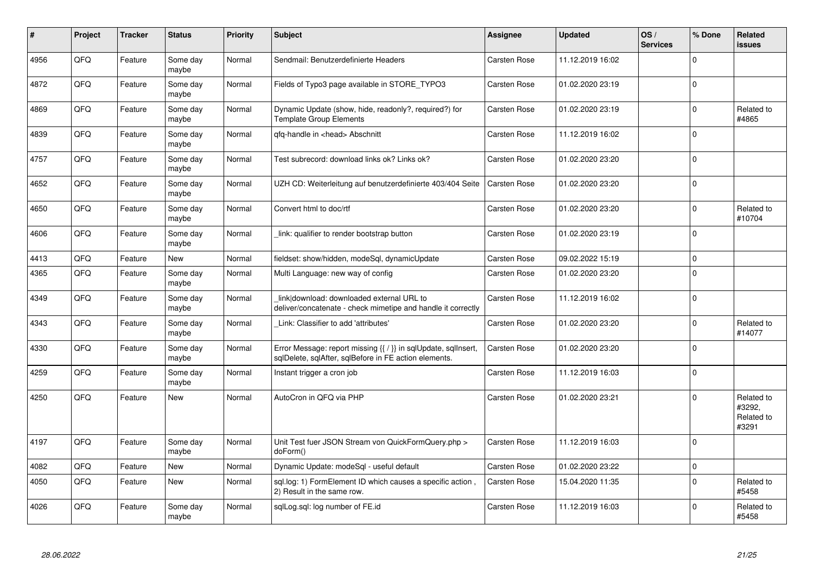| #    | Project | <b>Tracker</b> | <b>Status</b>     | <b>Priority</b> | <b>Subject</b>                                                                                                          | <b>Assignee</b> | <b>Updated</b>   | OS/<br><b>Services</b> | % Done      | Related<br><b>issues</b>                    |
|------|---------|----------------|-------------------|-----------------|-------------------------------------------------------------------------------------------------------------------------|-----------------|------------------|------------------------|-------------|---------------------------------------------|
| 4956 | QFQ     | Feature        | Some day<br>maybe | Normal          | Sendmail: Benutzerdefinierte Headers                                                                                    | Carsten Rose    | 11.12.2019 16:02 |                        | $\Omega$    |                                             |
| 4872 | QFQ     | Feature        | Some day<br>maybe | Normal          | Fields of Typo3 page available in STORE TYPO3                                                                           | Carsten Rose    | 01.02.2020 23:19 |                        | $\mathbf 0$ |                                             |
| 4869 | QFQ     | Feature        | Some day<br>maybe | Normal          | Dynamic Update (show, hide, readonly?, required?) for<br><b>Template Group Elements</b>                                 | Carsten Rose    | 01.02.2020 23:19 |                        | $\Omega$    | Related to<br>#4865                         |
| 4839 | QFQ     | Feature        | Some day<br>maybe | Normal          | qfq-handle in <head> Abschnitt</head>                                                                                   | Carsten Rose    | 11.12.2019 16:02 |                        | $\Omega$    |                                             |
| 4757 | QFQ     | Feature        | Some day<br>maybe | Normal          | Test subrecord: download links ok? Links ok?                                                                            | Carsten Rose    | 01.02.2020 23:20 |                        | $\Omega$    |                                             |
| 4652 | QFQ     | Feature        | Some day<br>maybe | Normal          | UZH CD: Weiterleitung auf benutzerdefinierte 403/404 Seite                                                              | Carsten Rose    | 01.02.2020 23:20 |                        | $\Omega$    |                                             |
| 4650 | QFQ     | Feature        | Some day<br>maybe | Normal          | Convert html to doc/rtf                                                                                                 | Carsten Rose    | 01.02.2020 23:20 |                        | $\mathbf 0$ | Related to<br>#10704                        |
| 4606 | QFQ     | Feature        | Some day<br>maybe | Normal          | link: qualifier to render bootstrap button                                                                              | Carsten Rose    | 01.02.2020 23:19 |                        | $\Omega$    |                                             |
| 4413 | QFQ     | Feature        | <b>New</b>        | Normal          | fieldset: show/hidden, modeSql, dynamicUpdate                                                                           | Carsten Rose    | 09.02.2022 15:19 |                        | $\mathbf 0$ |                                             |
| 4365 | QFQ     | Feature        | Some day<br>maybe | Normal          | Multi Language: new way of config                                                                                       | Carsten Rose    | 01.02.2020 23:20 |                        | $\Omega$    |                                             |
| 4349 | QFQ     | Feature        | Some day<br>maybe | Normal          | link download: downloaded external URL to<br>deliver/concatenate - check mimetipe and handle it correctly               | Carsten Rose    | 11.12.2019 16:02 |                        | $\mathbf 0$ |                                             |
| 4343 | QFQ     | Feature        | Some day<br>maybe | Normal          | Link: Classifier to add 'attributes'                                                                                    | Carsten Rose    | 01.02.2020 23:20 |                        | $\mathbf 0$ | Related to<br>#14077                        |
| 4330 | QFQ     | Feature        | Some day<br>maybe | Normal          | Error Message: report missing {{ / }} in sqlUpdate, sqlInsert,<br>sqlDelete, sqlAfter, sqlBefore in FE action elements. | Carsten Rose    | 01.02.2020 23:20 |                        | $\Omega$    |                                             |
| 4259 | QFQ     | Feature        | Some day<br>maybe | Normal          | Instant trigger a cron job                                                                                              | Carsten Rose    | 11.12.2019 16:03 |                        | $\mathbf 0$ |                                             |
| 4250 | QFQ     | Feature        | <b>New</b>        | Normal          | AutoCron in QFQ via PHP                                                                                                 | Carsten Rose    | 01.02.2020 23:21 |                        | $\Omega$    | Related to<br>#3292.<br>Related to<br>#3291 |
| 4197 | QFQ     | Feature        | Some day<br>maybe | Normal          | Unit Test fuer JSON Stream von QuickFormQuery.php ><br>doForm()                                                         | Carsten Rose    | 11.12.2019 16:03 |                        | $\mathbf 0$ |                                             |
| 4082 | QFQ     | Feature        | New               | Normal          | Dynamic Update: modeSql - useful default                                                                                | Carsten Rose    | 01.02.2020 23:22 |                        | $\pmb{0}$   |                                             |
| 4050 | QFQ     | Feature        | New               | Normal          | sql.log: 1) FormElement ID which causes a specific action,<br>2) Result in the same row.                                | Carsten Rose    | 15.04.2020 11:35 |                        | $\mathbf 0$ | Related to<br>#5458                         |
| 4026 | QFQ     | Feature        | Some day<br>maybe | Normal          | sglLog.sgl: log number of FE.id                                                                                         | Carsten Rose    | 11.12.2019 16:03 |                        | $\Omega$    | Related to<br>#5458                         |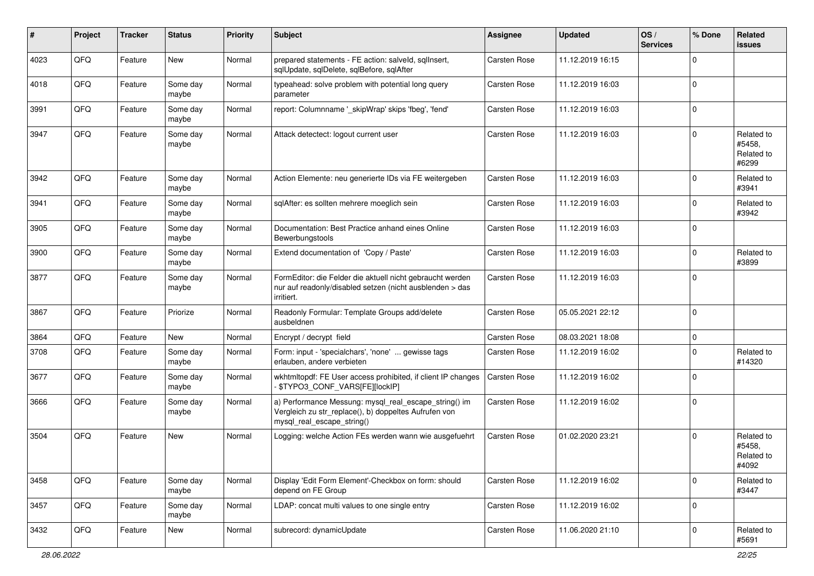| #    | Project | <b>Tracker</b> | <b>Status</b>     | <b>Priority</b> | <b>Subject</b>                                                                                                                               | <b>Assignee</b>     | <b>Updated</b>   | OS/<br><b>Services</b> | % Done   | <b>Related</b><br><b>issues</b>             |
|------|---------|----------------|-------------------|-----------------|----------------------------------------------------------------------------------------------------------------------------------------------|---------------------|------------------|------------------------|----------|---------------------------------------------|
| 4023 | QFQ     | Feature        | New               | Normal          | prepared statements - FE action: salveld, sqllnsert,<br>sqlUpdate, sqlDelete, sqlBefore, sqlAfter                                            | <b>Carsten Rose</b> | 11.12.2019 16:15 |                        | $\Omega$ |                                             |
| 4018 | QFQ     | Feature        | Some day<br>maybe | Normal          | typeahead: solve problem with potential long query<br>parameter                                                                              | Carsten Rose        | 11.12.2019 16:03 |                        | $\Omega$ |                                             |
| 3991 | QFQ     | Feature        | Some day<br>maybe | Normal          | report: Columnname '_skipWrap' skips 'fbeg', 'fend'                                                                                          | Carsten Rose        | 11.12.2019 16:03 |                        | $\Omega$ |                                             |
| 3947 | QFQ     | Feature        | Some day<br>maybe | Normal          | Attack detectect: logout current user                                                                                                        | Carsten Rose        | 11.12.2019 16:03 |                        | $\Omega$ | Related to<br>#5458,<br>Related to<br>#6299 |
| 3942 | QFQ     | Feature        | Some day<br>maybe | Normal          | Action Elemente: neu generierte IDs via FE weitergeben                                                                                       | Carsten Rose        | 11.12.2019 16:03 |                        | $\Omega$ | Related to<br>#3941                         |
| 3941 | QFQ     | Feature        | Some day<br>maybe | Normal          | sqlAfter: es sollten mehrere moeglich sein                                                                                                   | Carsten Rose        | 11.12.2019 16:03 |                        | $\Omega$ | Related to<br>#3942                         |
| 3905 | QFQ     | Feature        | Some day<br>maybe | Normal          | Documentation: Best Practice anhand eines Online<br>Bewerbungstools                                                                          | Carsten Rose        | 11.12.2019 16:03 |                        | $\Omega$ |                                             |
| 3900 | QFQ     | Feature        | Some day<br>maybe | Normal          | Extend documentation of 'Copy / Paste'                                                                                                       | Carsten Rose        | 11.12.2019 16:03 |                        | $\Omega$ | Related to<br>#3899                         |
| 3877 | QFQ     | Feature        | Some day<br>maybe | Normal          | FormEditor: die Felder die aktuell nicht gebraucht werden<br>nur auf readonly/disabled setzen (nicht ausblenden > das<br>irritiert.          | Carsten Rose        | 11.12.2019 16:03 |                        | $\Omega$ |                                             |
| 3867 | QFQ     | Feature        | Priorize          | Normal          | Readonly Formular: Template Groups add/delete<br>ausbeldnen                                                                                  | Carsten Rose        | 05.05.2021 22:12 |                        | $\Omega$ |                                             |
| 3864 | QFQ     | Feature        | New               | Normal          | Encrypt / decrypt field                                                                                                                      | Carsten Rose        | 08.03.2021 18:08 |                        | $\Omega$ |                                             |
| 3708 | QFQ     | Feature        | Some day<br>maybe | Normal          | Form: input - 'specialchars', 'none'  gewisse tags<br>erlauben, andere verbieten                                                             | Carsten Rose        | 11.12.2019 16:02 |                        | $\Omega$ | Related to<br>#14320                        |
| 3677 | QFQ     | Feature        | Some day<br>maybe | Normal          | wkhtmltopdf: FE User access prohibited, if client IP changes<br>\$TYPO3_CONF_VARS[FE][lockIP]                                                | Carsten Rose        | 11.12.2019 16:02 |                        | $\Omega$ |                                             |
| 3666 | QFQ     | Feature        | Some day<br>maybe | Normal          | a) Performance Messung: mysql real escape string() im<br>Vergleich zu str_replace(), b) doppeltes Aufrufen von<br>mysql_real_escape_string() | Carsten Rose        | 11.12.2019 16:02 |                        | $\Omega$ |                                             |
| 3504 | QFQ     | Feature        | <b>New</b>        | Normal          | Logging: welche Action FEs werden wann wie ausgefuehrt                                                                                       | <b>Carsten Rose</b> | 01.02.2020 23:21 |                        | $\Omega$ | Related to<br>#5458,<br>Related to<br>#4092 |
| 3458 | QFQ     | Feature        | Some day<br>maybe | Normal          | Display 'Edit Form Element'-Checkbox on form: should<br>depend on FE Group                                                                   | Carsten Rose        | 11.12.2019 16:02 |                        | 0        | Related to<br>#3447                         |
| 3457 | QFQ     | Feature        | Some day<br>maybe | Normal          | LDAP: concat multi values to one single entry                                                                                                | Carsten Rose        | 11.12.2019 16:02 |                        | 0        |                                             |
| 3432 | QFQ     | Feature        | New               | Normal          | subrecord: dynamicUpdate                                                                                                                     | Carsten Rose        | 11.06.2020 21:10 |                        | 0        | Related to<br>#5691                         |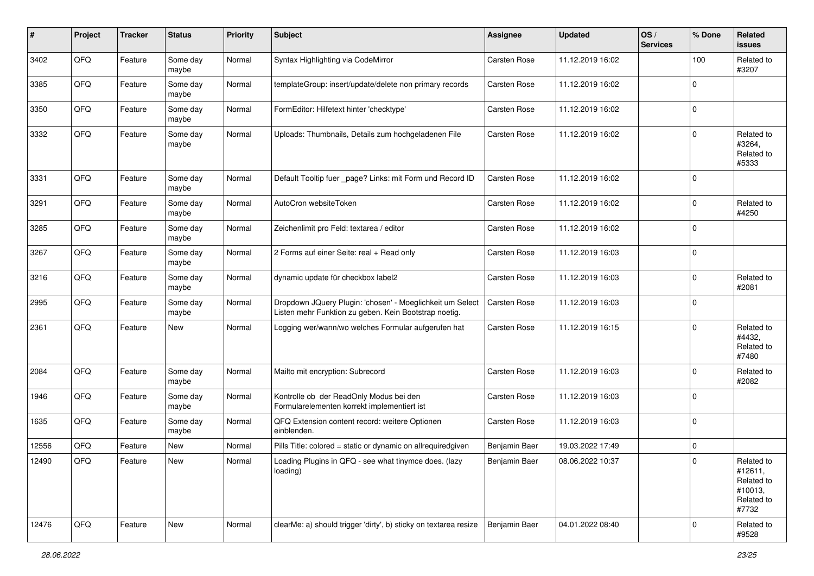| #     | Project | <b>Tracker</b> | <b>Status</b>     | <b>Priority</b> | <b>Subject</b>                                                                                                     | Assignee            | <b>Updated</b>   | OS/<br><b>Services</b> | % Done      | <b>Related</b><br><b>issues</b>                                       |
|-------|---------|----------------|-------------------|-----------------|--------------------------------------------------------------------------------------------------------------------|---------------------|------------------|------------------------|-------------|-----------------------------------------------------------------------|
| 3402  | QFQ     | Feature        | Some day<br>maybe | Normal          | Syntax Highlighting via CodeMirror                                                                                 | Carsten Rose        | 11.12.2019 16:02 |                        | 100         | Related to<br>#3207                                                   |
| 3385  | QFQ     | Feature        | Some day<br>maybe | Normal          | templateGroup: insert/update/delete non primary records                                                            | Carsten Rose        | 11.12.2019 16:02 |                        | $\Omega$    |                                                                       |
| 3350  | QFQ     | Feature        | Some day<br>maybe | Normal          | FormEditor: Hilfetext hinter 'checktype'                                                                           | Carsten Rose        | 11.12.2019 16:02 |                        | $\Omega$    |                                                                       |
| 3332  | QFQ     | Feature        | Some day<br>maybe | Normal          | Uploads: Thumbnails, Details zum hochgeladenen File                                                                | Carsten Rose        | 11.12.2019 16:02 |                        | $\Omega$    | Related to<br>#3264,<br>Related to<br>#5333                           |
| 3331  | QFQ     | Feature        | Some day<br>maybe | Normal          | Default Tooltip fuer _page? Links: mit Form und Record ID                                                          | Carsten Rose        | 11.12.2019 16:02 |                        | $\Omega$    |                                                                       |
| 3291  | QFQ     | Feature        | Some day<br>maybe | Normal          | AutoCron websiteToken                                                                                              | Carsten Rose        | 11.12.2019 16:02 |                        | $\Omega$    | Related to<br>#4250                                                   |
| 3285  | QFQ     | Feature        | Some day<br>maybe | Normal          | Zeichenlimit pro Feld: textarea / editor                                                                           | Carsten Rose        | 11.12.2019 16:02 |                        | $\Omega$    |                                                                       |
| 3267  | QFQ     | Feature        | Some day<br>maybe | Normal          | 2 Forms auf einer Seite: real + Read only                                                                          | Carsten Rose        | 11.12.2019 16:03 |                        | $\Omega$    |                                                                       |
| 3216  | QFQ     | Feature        | Some day<br>maybe | Normal          | dynamic update für checkbox label2                                                                                 | <b>Carsten Rose</b> | 11.12.2019 16:03 |                        | $\Omega$    | Related to<br>#2081                                                   |
| 2995  | QFQ     | Feature        | Some day<br>maybe | Normal          | Dropdown JQuery Plugin: 'chosen' - Moeglichkeit um Select<br>Listen mehr Funktion zu geben. Kein Bootstrap noetig. | <b>Carsten Rose</b> | 11.12.2019 16:03 |                        | $\Omega$    |                                                                       |
| 2361  | QFQ     | Feature        | New               | Normal          | Logging wer/wann/wo welches Formular aufgerufen hat                                                                | <b>Carsten Rose</b> | 11.12.2019 16:15 |                        | $\Omega$    | Related to<br>#4432,<br>Related to<br>#7480                           |
| 2084  | QFQ     | Feature        | Some day<br>maybe | Normal          | Mailto mit encryption: Subrecord                                                                                   | Carsten Rose        | 11.12.2019 16:03 |                        | $\Omega$    | Related to<br>#2082                                                   |
| 1946  | QFQ     | Feature        | Some day<br>maybe | Normal          | Kontrolle ob der ReadOnly Modus bei den<br>Formularelementen korrekt implementiert ist                             | Carsten Rose        | 11.12.2019 16:03 |                        | $\Omega$    |                                                                       |
| 1635  | QFQ     | Feature        | Some day<br>maybe | Normal          | QFQ Extension content record: weitere Optionen<br>einblenden.                                                      | Carsten Rose        | 11.12.2019 16:03 |                        | $\Omega$    |                                                                       |
| 12556 | QFQ     | Feature        | New               | Normal          | Pills Title: colored = static or dynamic on allrequiredgiven                                                       | Benjamin Baer       | 19.03.2022 17:49 |                        | $\mathbf 0$ |                                                                       |
| 12490 | QFQ     | Feature        | New               | Normal          | Loading Plugins in QFQ - see what tinymce does. (lazy<br>loading)                                                  | Benjamin Baer       | 08.06.2022 10:37 |                        |             | Related to<br>#12611,<br>Related to<br>#10013,<br>Related to<br>#7732 |
| 12476 | QFQ     | Feature        | New               | Normal          | clearMe: a) should trigger 'dirty', b) sticky on textarea resize                                                   | Benjamin Baer       | 04.01.2022 08:40 |                        | 0           | Related to<br>#9528                                                   |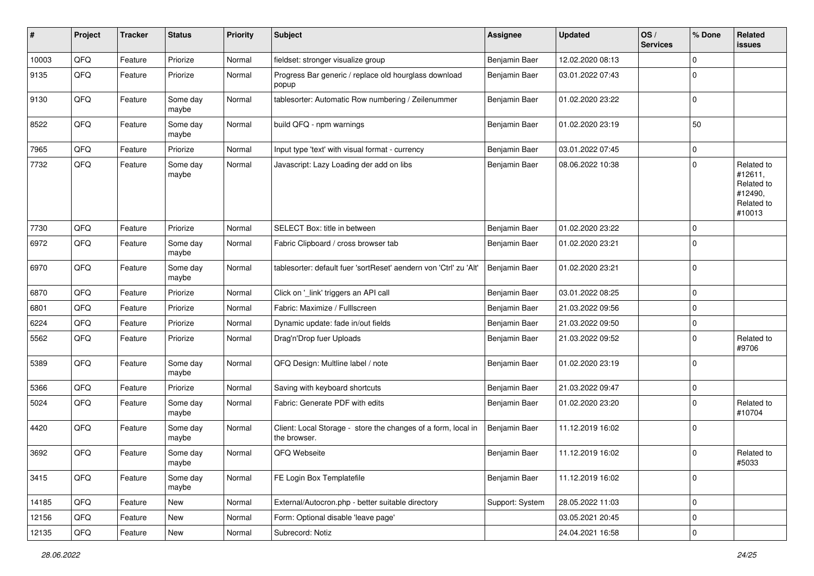| $\sharp$ | Project | <b>Tracker</b> | <b>Status</b>     | <b>Priority</b> | <b>Subject</b>                                                                | <b>Assignee</b> | <b>Updated</b>   | OS/<br><b>Services</b> | % Done      | <b>Related</b><br>issues                                               |
|----------|---------|----------------|-------------------|-----------------|-------------------------------------------------------------------------------|-----------------|------------------|------------------------|-------------|------------------------------------------------------------------------|
| 10003    | QFQ     | Feature        | Priorize          | Normal          | fieldset: stronger visualize group                                            | Benjamin Baer   | 12.02.2020 08:13 |                        | $\Omega$    |                                                                        |
| 9135     | QFQ     | Feature        | Priorize          | Normal          | Progress Bar generic / replace old hourglass download<br>popup                | Benjamin Baer   | 03.01.2022 07:43 |                        | $\Omega$    |                                                                        |
| 9130     | QFQ     | Feature        | Some day<br>maybe | Normal          | tablesorter: Automatic Row numbering / Zeilenummer                            | Benjamin Baer   | 01.02.2020 23:22 |                        | $\mathbf 0$ |                                                                        |
| 8522     | QFQ     | Feature        | Some day<br>maybe | Normal          | build QFQ - npm warnings                                                      | Benjamin Baer   | 01.02.2020 23:19 |                        | 50          |                                                                        |
| 7965     | QFQ     | Feature        | Priorize          | Normal          | Input type 'text' with visual format - currency                               | Benjamin Baer   | 03.01.2022 07:45 |                        | $\Omega$    |                                                                        |
| 7732     | QFQ     | Feature        | Some day<br>maybe | Normal          | Javascript: Lazy Loading der add on libs                                      | Benjamin Baer   | 08.06.2022 10:38 |                        | $\Omega$    | Related to<br>#12611,<br>Related to<br>#12490,<br>Related to<br>#10013 |
| 7730     | QFQ     | Feature        | Priorize          | Normal          | SELECT Box: title in between                                                  | Benjamin Baer   | 01.02.2020 23:22 |                        | $\Omega$    |                                                                        |
| 6972     | QFQ     | Feature        | Some day<br>maybe | Normal          | Fabric Clipboard / cross browser tab                                          | Benjamin Baer   | 01.02.2020 23:21 |                        | $\Omega$    |                                                                        |
| 6970     | QFQ     | Feature        | Some day<br>maybe | Normal          | tablesorter: default fuer 'sortReset' aendern von 'Ctrl' zu 'Alt'             | Benjamin Baer   | 01.02.2020 23:21 |                        | $\mathbf 0$ |                                                                        |
| 6870     | QFQ     | Feature        | Priorize          | Normal          | Click on '_link' triggers an API call                                         | Benjamin Baer   | 03.01.2022 08:25 |                        | $\mathbf 0$ |                                                                        |
| 6801     | QFQ     | Feature        | Priorize          | Normal          | Fabric: Maximize / Fulllscreen                                                | Benjamin Baer   | 21.03.2022 09:56 |                        | $\mathbf 0$ |                                                                        |
| 6224     | QFQ     | Feature        | Priorize          | Normal          | Dynamic update: fade in/out fields                                            | Benjamin Baer   | 21.03.2022 09:50 |                        | $\mathbf 0$ |                                                                        |
| 5562     | QFQ     | Feature        | Priorize          | Normal          | Drag'n'Drop fuer Uploads                                                      | Benjamin Baer   | 21.03.2022 09:52 |                        | $\Omega$    | Related to<br>#9706                                                    |
| 5389     | QFQ     | Feature        | Some day<br>maybe | Normal          | QFQ Design: Multline label / note                                             | Benjamin Baer   | 01.02.2020 23:19 |                        | $\mathbf 0$ |                                                                        |
| 5366     | QFQ     | Feature        | Priorize          | Normal          | Saving with keyboard shortcuts                                                | Benjamin Baer   | 21.03.2022 09:47 |                        | $\mathbf 0$ |                                                                        |
| 5024     | QFQ     | Feature        | Some day<br>maybe | Normal          | Fabric: Generate PDF with edits                                               | Benjamin Baer   | 01.02.2020 23:20 |                        | $\Omega$    | Related to<br>#10704                                                   |
| 4420     | QFQ     | Feature        | Some day<br>maybe | Normal          | Client: Local Storage - store the changes of a form, local in<br>the browser. | Benjamin Baer   | 11.12.2019 16:02 |                        | $\Omega$    |                                                                        |
| 3692     | QFQ     | Feature        | Some day<br>maybe | Normal          | QFQ Webseite                                                                  | Benjamin Baer   | 11.12.2019 16:02 |                        | $\mathbf 0$ | Related to<br>#5033                                                    |
| 3415     | QFQ     | Feature        | Some day<br>maybe | Normal          | FE Login Box Templatefile                                                     | Benjamin Baer   | 11.12.2019 16:02 |                        | 0           |                                                                        |
| 14185    | QFG     | Feature        | New               | Normal          | External/Autocron.php - better suitable directory                             | Support: System | 28.05.2022 11:03 |                        | $\pmb{0}$   |                                                                        |
| 12156    | QFQ     | Feature        | New               | Normal          | Form: Optional disable 'leave page'                                           |                 | 03.05.2021 20:45 |                        | 0           |                                                                        |
| 12135    | QFQ     | Feature        | New               | Normal          | Subrecord: Notiz                                                              |                 | 24.04.2021 16:58 |                        | $\pmb{0}$   |                                                                        |